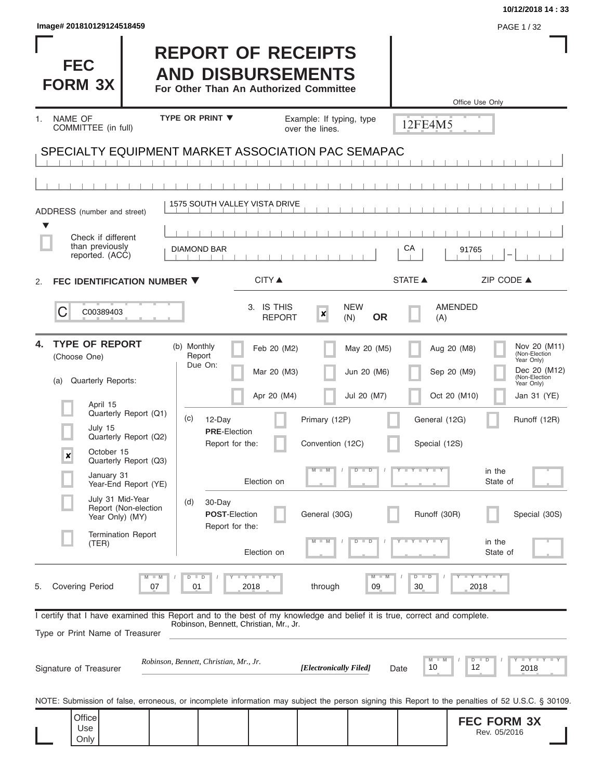| Image# 201810129124518459                                                                                                                                                                                                                                                                                                                |                                                                                                                                                                                       |                                                                                                            |                                                           |                                                                                        | PAGE 1/32                                                                                                                                                                                              |
|------------------------------------------------------------------------------------------------------------------------------------------------------------------------------------------------------------------------------------------------------------------------------------------------------------------------------------------|---------------------------------------------------------------------------------------------------------------------------------------------------------------------------------------|------------------------------------------------------------------------------------------------------------|-----------------------------------------------------------|----------------------------------------------------------------------------------------|--------------------------------------------------------------------------------------------------------------------------------------------------------------------------------------------------------|
| <b>FEC</b><br><b>FORM 3X</b>                                                                                                                                                                                                                                                                                                             | <b>REPORT OF RECEIPTS</b><br><b>AND DISBURSEMENTS</b><br>For Other Than An Authorized Committee                                                                                       |                                                                                                            |                                                           |                                                                                        | Office Use Only                                                                                                                                                                                        |
| NAME OF<br>1 <sub>1</sub><br>COMMITTEE (in full)                                                                                                                                                                                                                                                                                         | <b>TYPE OR PRINT ▼</b>                                                                                                                                                                | Example: If typing, type<br>over the lines.                                                                |                                                           | 12FE4M5                                                                                |                                                                                                                                                                                                        |
| SPECIALTY EQUIPMENT MARKET ASSOCIATION PAC SEMAPAC                                                                                                                                                                                                                                                                                       |                                                                                                                                                                                       |                                                                                                            |                                                           |                                                                                        |                                                                                                                                                                                                        |
|                                                                                                                                                                                                                                                                                                                                          |                                                                                                                                                                                       |                                                                                                            |                                                           |                                                                                        |                                                                                                                                                                                                        |
| ADDRESS (number and street)                                                                                                                                                                                                                                                                                                              | 1575 SOUTH VALLEY VISTA DRIVE                                                                                                                                                         |                                                                                                            |                                                           |                                                                                        |                                                                                                                                                                                                        |
| Check if different<br>than previously<br>reported. (ACC)                                                                                                                                                                                                                                                                                 | <b>DIAMOND BAR</b>                                                                                                                                                                    |                                                                                                            |                                                           | СA                                                                                     | 91765                                                                                                                                                                                                  |
| FEC IDENTIFICATION NUMBER ▼<br>2.                                                                                                                                                                                                                                                                                                        | <b>CITY</b> ▲                                                                                                                                                                         |                                                                                                            |                                                           | <b>STATE ▲</b>                                                                         | ZIP CODE ▲                                                                                                                                                                                             |
| C<br>C00389403                                                                                                                                                                                                                                                                                                                           |                                                                                                                                                                                       | 3. IS THIS<br>$\boldsymbol{x}$<br><b>REPORT</b>                                                            | <b>NEW</b><br><b>OR</b><br>(N)                            | (A)                                                                                    | <b>AMENDED</b>                                                                                                                                                                                         |
| <b>TYPE OF REPORT</b><br>4.<br>(Choose One)<br>Quarterly Reports:<br>(a)<br>April 15<br>Quarterly Report (Q1)<br>July 15<br>Quarterly Report (Q2)<br>October 15<br>×<br>Quarterly Report (Q3)<br>January 31<br>Year-End Report (YE)<br>July 31 Mid-Year<br>Report (Non-election<br>Year Only) (MY)<br><b>Termination Report</b><br>(TER) | (b) Monthly<br>Report<br>Due On:<br>(c)<br>12-Day<br><b>PRE-Election</b><br>Report for the:<br>Election on<br>30-Day<br>(d)<br><b>POST-Election</b><br>Report for the:<br>Election on | Feb 20 (M2)<br>Mar 20 (M3)<br>Apr 20 (M4)<br>Primary (12P)<br>Convention (12C)<br>$M - M$<br>General (30G) | May 20 (M5)<br>Jun 20 (M6)<br>Jul 20 (M7)<br>$D$ $D$<br>т | Aug 20 (M8)<br>Sep 20 (M9)<br>General (12G)<br>Special (12S)<br>Y LY L<br>Runoff (30R) | Nov 20 (M11)<br>(Non-Election<br>Year Only)<br>Dec 20 (M12)<br>(Non-Election<br>Year Only)<br>Oct 20 (M10)<br>Jan 31 (YE)<br>Runoff (12R)<br>in the<br>State of<br>Special (30S)<br>in the<br>State of |
| <b>Covering Period</b><br>5.<br>07<br>I certify that I have examined this Report and to the best of my knowledge and belief it is true, correct and complete.                                                                                                                                                                            | Y I Y I Y<br>D<br>D<br>2018<br>01                                                                                                                                                     | through                                                                                                    | $M - M$<br>09                                             | $D$ $D$<br>30                                                                          | $Y - Y - Y$<br>2018                                                                                                                                                                                    |
| Type or Print Name of Treasurer<br>Signature of Treasurer                                                                                                                                                                                                                                                                                | Robinson, Bennett, Christian, Mr., Jr.<br>Robinson, Bennett, Christian, Mr., Jr.                                                                                                      | [Electronically Filed]                                                                                     |                                                           | M<br>10<br>Date                                                                        | <b>LEY LEY LEY</b><br>$D$ $D$<br>12<br>2018                                                                                                                                                            |
| NOTE: Submission of false, erroneous, or incomplete information may subject the person signing this Report to the penalties of 52 U.S.C. § 30109.<br>Office<br>Use<br>Only                                                                                                                                                               |                                                                                                                                                                                       |                                                                                                            |                                                           |                                                                                        | <b>FEC FORM 3X</b><br>Rev. 05/2016                                                                                                                                                                     |

**10/12/2018 14 : 33**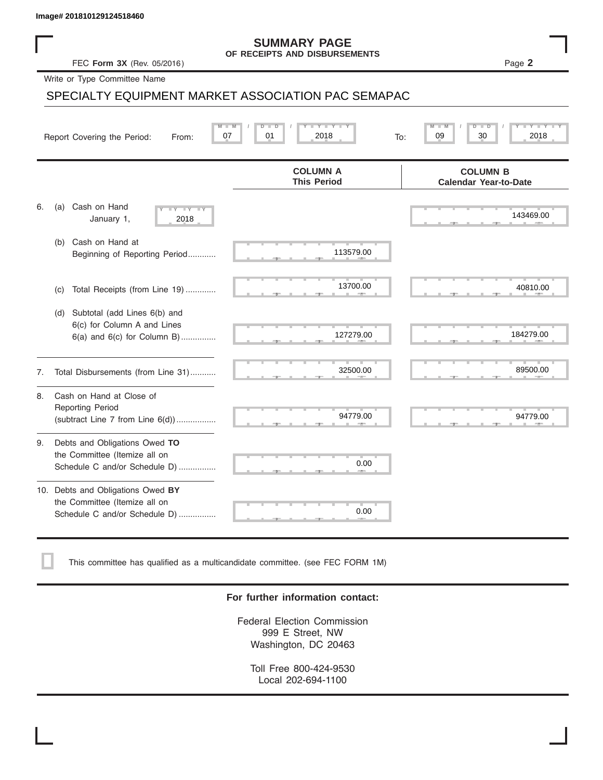#### **SUMMARY PAGE OF RECEIPTS AND DISBURSEMENTS**

### SPECIALTY EQUIPMENT MARKET ASSOCIATION PAC SEMAPAC

|    | Image# 201810129124518460                                                                             |                                                      |                                                 |
|----|-------------------------------------------------------------------------------------------------------|------------------------------------------------------|-------------------------------------------------|
|    | FEC Form 3X (Rev. 05/2016)                                                                            | <b>SUMMARY PAGE</b><br>OF RECEIPTS AND DISBURSEMENTS | Page 2                                          |
|    | Write or Type Committee Name                                                                          |                                                      |                                                 |
|    |                                                                                                       | SPECIALTY EQUIPMENT MARKET ASSOCIATION PAC SEMAPAC   |                                                 |
|    | Report Covering the Period:<br>From:                                                                  | Y Y "<br>2018<br>07<br>01<br>To:                     | 30<br>2018<br>09                                |
|    |                                                                                                       | <b>COLUMN A</b><br><b>This Period</b>                | <b>COLUMN B</b><br><b>Calendar Year-to-Date</b> |
| 6. | Cash on Hand<br>(a)<br>$-Y - Y - IY$<br>January 1,<br>2018                                            |                                                      | 143469.00                                       |
|    | Cash on Hand at<br>(b)<br>Beginning of Reporting Period                                               | 113579.00                                            |                                                 |
|    | Total Receipts (from Line 19)<br>(c)                                                                  | 13700.00                                             | 40810.00                                        |
|    | Subtotal (add Lines 6(b) and<br>(d)<br>6(c) for Column A and Lines<br>$6(a)$ and $6(c)$ for Column B) | 127279.00                                            | 184279.00                                       |
| 7. | Total Disbursements (from Line 31)                                                                    | 32500.00                                             | 89500.00                                        |
| 8. | Cash on Hand at Close of<br><b>Reporting Period</b><br>(subtract Line $7$ from Line $6(d)$ )          | 94779.00                                             | 94779.00                                        |
| 9. | Debts and Obligations Owed TO<br>the Committee (Itemize all on<br>Schedule C and/or Schedule D)       | 0.00                                                 |                                                 |
|    | 10. Debts and Obligations Owed BY<br>the Committee (Itemize all on<br>Schedule C and/or Schedule D)   | т<br>0.00                                            |                                                 |

This committee has qualified as a multicandidate committee. (see FEC FORM 1M)

#### **For further information contact:**

Federal Election Commission 999 E Street, NW Washington, DC 20463

Toll Free 800-424-9530 Local 202-694-1100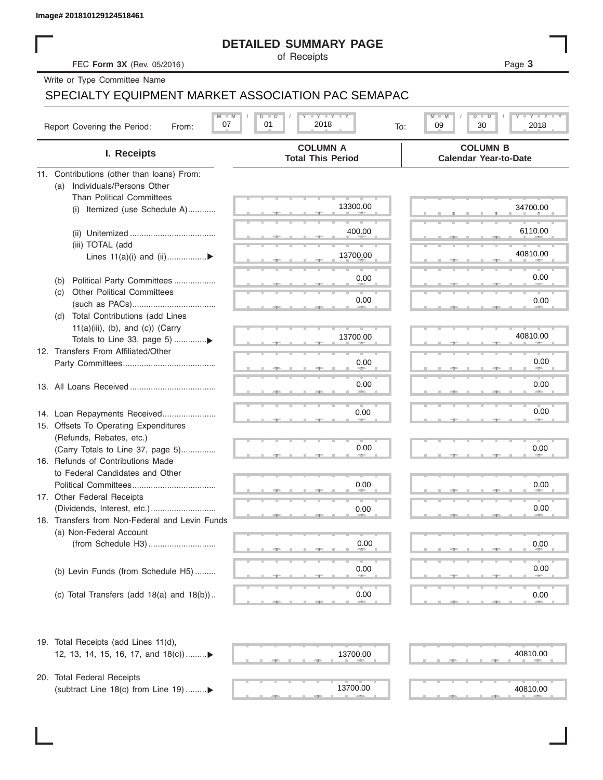#### **DETAILED SUMMARY PAGE**

### SPECIALTY EQUIPMENT MARKET ASSOCIATION PAC SEMAPAC

|                                                                     | <b>DETAILED SUMMARY PAGE</b>                |                                                              |
|---------------------------------------------------------------------|---------------------------------------------|--------------------------------------------------------------|
| FEC Form 3X (Rev. 05/2016)                                          | of Receipts                                 | Page 3                                                       |
| Write or Type Committee Name                                        |                                             |                                                              |
| SPECIALTY EQUIPMENT MARKET ASSOCIATION PAC SEMAPAC                  |                                             |                                                              |
| $M - M$<br>07                                                       | <b>LY LY LY</b><br>$D$ $D$<br>01<br>2018    | $T - Y$ $T - Y$ $T - Y$<br>M<br>D<br>$\overline{\mathsf{D}}$ |
| Report Covering the Period:<br>From:                                | To:                                         | 09<br>30<br>2018                                             |
| I. Receipts                                                         | <b>COLUMN A</b><br><b>Total This Period</b> | <b>COLUMN B</b><br><b>Calendar Year-to-Date</b>              |
| 11. Contributions (other than loans) From:                          |                                             |                                                              |
| Individuals/Persons Other<br>(a)                                    |                                             |                                                              |
| <b>Than Political Committees</b>                                    | 13300.00                                    | 34700.00                                                     |
| (i) Itemized (use Schedule A)                                       |                                             |                                                              |
|                                                                     | 400.00                                      | 6110.00                                                      |
| (iii) TOTAL (add                                                    |                                             |                                                              |
| Lines 11(a)(i) and (ii)▶                                            | 13700.00                                    | 40810.00                                                     |
|                                                                     |                                             |                                                              |
| Political Party Committees<br>(b)                                   | 0.00                                        | 0.00                                                         |
| <b>Other Political Committees</b><br>(C)                            | 0.00                                        |                                                              |
|                                                                     |                                             | 0.00                                                         |
| Total Contributions (add Lines<br>(d)                               |                                             |                                                              |
| $11(a)(iii)$ , (b), and (c)) (Carry                                 | 13700.00                                    | 40810.00                                                     |
| Totals to Line 33, page 5) ▶<br>12. Transfers From Affiliated/Other |                                             |                                                              |
|                                                                     | 0.00                                        | 0.00                                                         |
|                                                                     |                                             |                                                              |
|                                                                     | 0.00                                        | 0.00                                                         |
|                                                                     |                                             |                                                              |
| 14. Loan Repayments Received                                        | 0.00                                        | 0.00                                                         |
| 15. Offsets To Operating Expenditures                               |                                             |                                                              |
| (Refunds, Rebates, etc.)                                            |                                             |                                                              |
| (Carry Totals to Line 37, page 5)                                   | 0.00                                        | 0.00                                                         |
| 16. Refunds of Contributions Made                                   |                                             |                                                              |
| to Federal Candidates and Other                                     |                                             |                                                              |
| Political Committees                                                | 0.00                                        | 0.00                                                         |
| 17. Other Federal Receipts                                          | 0.00                                        | 0.00                                                         |
| 18. Transfers from Non-Federal and Levin Funds                      |                                             |                                                              |
| (a) Non-Federal Account                                             |                                             |                                                              |
|                                                                     | 0.00                                        | 0.00                                                         |
|                                                                     |                                             |                                                              |
| (b) Levin Funds (from Schedule H5)                                  | 0.00                                        | 0.00                                                         |
|                                                                     |                                             |                                                              |
| (c) Total Transfers (add $18(a)$ and $18(b)$ )                      | 0.00                                        | 0.00                                                         |
|                                                                     |                                             |                                                              |
| 19. Total Receipts (add Lines 11(d),                                |                                             |                                                              |
| 12, 13, 14, 15, 16, 17, and 18(c))                                  | 13700.00                                    | 40810.00                                                     |
|                                                                     |                                             |                                                              |
| 20. Total Federal Receipts                                          | 13700.00                                    |                                                              |
| (subtract Line 18(c) from Line 19) ▶                                |                                             | 40810.00                                                     |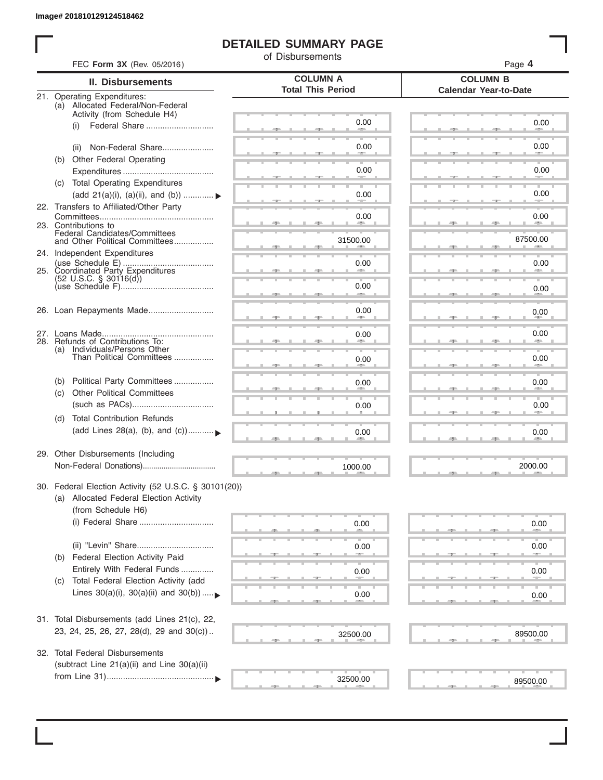ı

### **DETAILED SUMMARY PAGE**

of Disbursements

| FEC Form 3X (Rev. 05/2016)                                                                                             |                                             | Page 4                                          |
|------------------------------------------------------------------------------------------------------------------------|---------------------------------------------|-------------------------------------------------|
| <b>II. Disbursements</b>                                                                                               | <b>COLUMN A</b><br><b>Total This Period</b> | <b>COLUMN B</b><br><b>Calendar Year-to-Date</b> |
| 21. Operating Expenditures:<br>(a) Allocated Federal/Non-Federal<br>Activity (from Schedule H4)                        |                                             |                                                 |
| (i)                                                                                                                    | 0.00                                        | 0.00                                            |
| Non-Federal Share<br>(ii)                                                                                              | 0.00                                        | 0.00                                            |
| (b) Other Federal Operating                                                                                            | 0.00                                        | 0.00                                            |
| (c) Total Operating Expenditures                                                                                       |                                             | 0.00                                            |
| (add 21(a)(i), (a)(ii), and (b))  ▶<br>22. Transfers to Affiliated/Other Party                                         | 0.00                                        |                                                 |
| 23. Contributions to                                                                                                   | 0.00                                        | 0.00<br><b>Allen</b>                            |
| Federal Candidates/Committees<br>and Other Political Committees                                                        | 31500.00                                    | 87500.00                                        |
| 24. Independent Expenditures                                                                                           | 0.00                                        | 0.00                                            |
| $(52 \text{ U.S.C. }$ § 30116(d))                                                                                      | 0.00                                        |                                                 |
|                                                                                                                        | <b>SERVICE</b>                              | 0.00                                            |
| 26. Loan Repayments Made                                                                                               | 0.00                                        | 0.00                                            |
| 28. Refunds of Contributions To:                                                                                       | 0.00                                        | 0.00                                            |
| (a) Individuals/Persons Other<br>Than Political Committees                                                             | 0.00                                        | 0.00                                            |
| Political Party Committees<br>(b)<br><b>Other Political Committees</b>                                                 | 0.00                                        | 0.00                                            |
| (c)                                                                                                                    | 0.00                                        | 0.00                                            |
| <b>Total Contribution Refunds</b><br>(d)<br>(add Lines 28(a), (b), and (c))                                            | 0.00                                        | 0.00                                            |
| 29. Other Disbursements (Including                                                                                     | 1000.00                                     | 2000.00                                         |
| 30. Federal Election Activity (52 U.S.C. § 30101(20))<br>(a) Allocated Federal Election Activity<br>(from Schedule H6) |                                             |                                                 |
|                                                                                                                        | 0.00                                        | 0.00                                            |
| (ii) "Levin" Share                                                                                                     | 0.00                                        | 0.00                                            |
| Federal Election Activity Paid<br>(b)<br>Entirely With Federal Funds                                                   | 0.00                                        | 0.00                                            |
| Total Federal Election Activity (add<br>(C)<br>Lines $30(a)(i)$ , $30(a)(ii)$ and $30(b))$                             | 0.00                                        | 0.00                                            |
| 31. Total Disbursements (add Lines 21(c), 22,                                                                          |                                             |                                                 |
| 23, 24, 25, 26, 27, 28(d), 29 and 30(c))                                                                               | 32500.00                                    | 89500.00                                        |
| 32. Total Federal Disbursements<br>(subtract Line 21(a)(ii) and Line 30(a)(ii)                                         |                                             |                                                 |
|                                                                                                                        | 32500.00                                    | 89500.00                                        |
|                                                                                                                        |                                             |                                                 |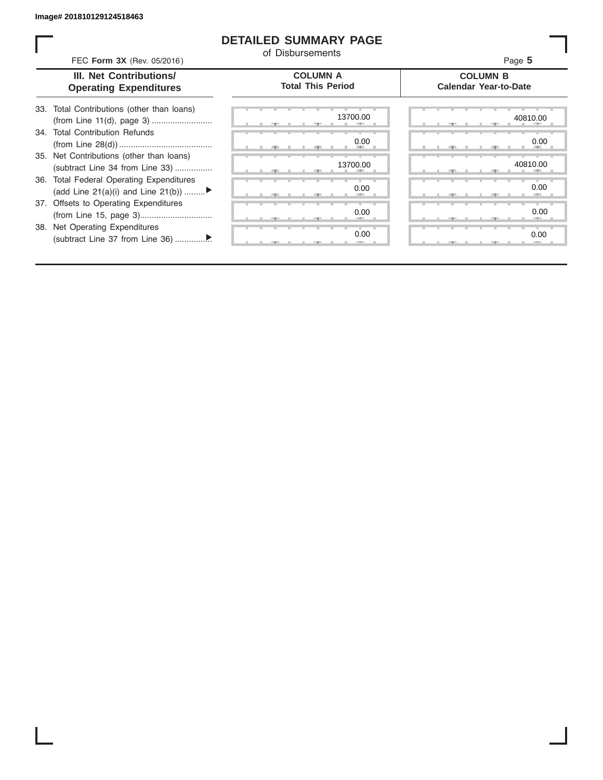#### **DETAILED SUMMARY PAGE**

of Disbursements

FEC **Form 3X** (Rev. 05/2016) Page **5**

|  | III. Net Contributions/       |
|--|-------------------------------|
|  | <b>Operating Expenditures</b> |

#### **COLUMN A Total This Period**

#### **COLUMN B Calendar Year-to-Date**

| 33. Total Contributions (other than loans) |  |
|--------------------------------------------|--|
|                                            |  |
| 34. Total Contribution Refunds             |  |
|                                            |  |
| 35. Net Contributions (other than loans)   |  |
| (subtract Line 34 from Line 33)            |  |
| 36. Total Federal Operating Expenditures   |  |
| (add Line 21(a)(i) and Line 21(b))         |  |
| 37. Offsets to Operating Expenditures      |  |
|                                            |  |
| 38. Net Operating Expenditures             |  |
|                                            |  |

| 40810.0                         |  |  | 13700.00                                   |     |  |  |   |
|---------------------------------|--|--|--------------------------------------------|-----|--|--|---|
| 0.0                             |  |  | 0.00<br><b>All Contracts</b><br><b>III</b> |     |  |  | ٠ |
| 40810.0<br><b>All Contracts</b> |  |  | 13700.00<br>÷                              |     |  |  |   |
| 0.0<br>and the project          |  |  | 0.00<br><b>ALC 1999</b>                    | -90 |  |  |   |
| 0.0                             |  |  | 0.00<br>-                                  |     |  |  |   |
| ٠<br>0.0<br>$-2-$               |  |  | 0.00                                       |     |  |  |   |
|                                 |  |  |                                            |     |  |  |   |

|  |  |  |  | 13700.00<br>$=$    |  |  |  |  |    |  | 40810.00<br>--               |  |
|--|--|--|--|--------------------|--|--|--|--|----|--|------------------------------|--|
|  |  |  |  |                    |  |  |  |  |    |  |                              |  |
|  |  |  |  | 0.00<br><b>ALL</b> |  |  |  |  | 49 |  | 0.00<br><b>All Contracts</b> |  |
|  |  |  |  | 13700.00           |  |  |  |  |    |  | 40810.00                     |  |
|  |  |  |  | æ.                 |  |  |  |  |    |  | - 11                         |  |
|  |  |  |  |                    |  |  |  |  |    |  |                              |  |
|  |  |  |  | 0.00               |  |  |  |  |    |  | 0.00                         |  |
|  |  |  |  | -                  |  |  |  |  | ч. |  | -                            |  |
|  |  |  |  |                    |  |  |  |  |    |  |                              |  |
|  |  |  |  | 0.00               |  |  |  |  |    |  | 0.00<br>-                    |  |
|  |  |  |  | 0.00               |  |  |  |  |    |  | 0.00                         |  |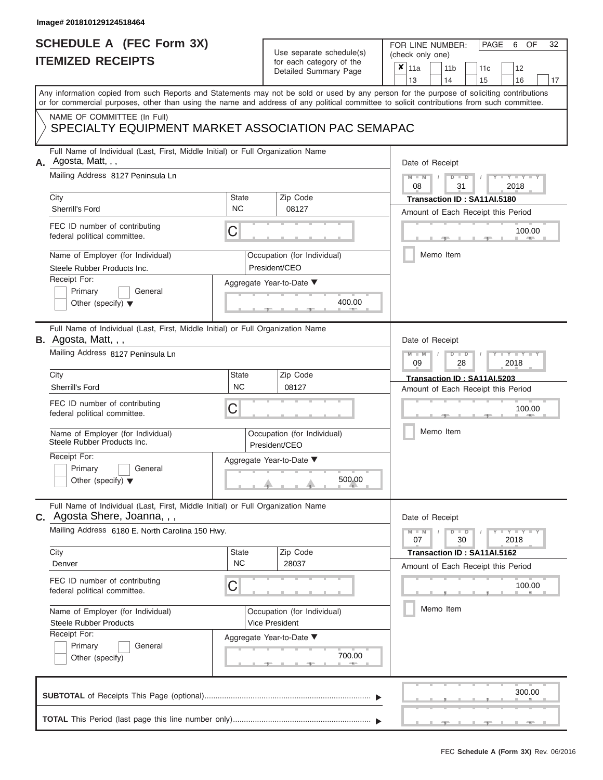# **SCHEDULE A (FEC Form 3X)**

# Use separate schedule(s)

| SCHEDULE A (FEC Form 3X)<br><b>ITEMIZED RECEIPTS</b>                                                                                                                                                                                                                                                                                                                                       |                                | Use separate schedule(s)<br>for each category of the<br>Detailed Summary Page                                   | 32<br>FOR LINE NUMBER:<br>PAGE<br>OF<br>6<br>(check only one)<br>$\overline{\mathbf{x}}$   11a<br>11 <sub>b</sub><br>12<br>11 <sub>c</sub><br>13<br>14<br>15<br>16<br>17                                                                                          |
|--------------------------------------------------------------------------------------------------------------------------------------------------------------------------------------------------------------------------------------------------------------------------------------------------------------------------------------------------------------------------------------------|--------------------------------|-----------------------------------------------------------------------------------------------------------------|-------------------------------------------------------------------------------------------------------------------------------------------------------------------------------------------------------------------------------------------------------------------|
| or for commercial purposes, other than using the name and address of any political committee to solicit contributions from such committee.<br>NAME OF COMMITTEE (In Full)<br>SPECIALTY EQUIPMENT MARKET ASSOCIATION PAC SEMAPAC                                                                                                                                                            |                                |                                                                                                                 | Any information copied from such Reports and Statements may not be sold or used by any person for the purpose of soliciting contributions                                                                                                                         |
| Full Name of Individual (Last, First, Middle Initial) or Full Organization Name<br>A. Agosta, Matt, , ,<br>Mailing Address 8127 Peninsula Ln<br>City<br>Sherrill's Ford<br>FEC ID number of contributing<br>federal political committee.<br>Name of Employer (for Individual)<br>Steele Rubber Products Inc.<br>Receipt For:<br>Primary<br>General<br>Other (specify) $\blacktriangledown$ | <b>State</b><br><b>NC</b><br>C | Zip Code<br>08127<br>Occupation (for Individual)<br>President/CEO<br>Aggregate Year-to-Date ▼<br>400.00         | Date of Receipt<br>$M - M$ /<br>$D$ $D$<br>$-1 - Y - 1 - Y - 1$<br>08<br>31<br>2018<br>Transaction ID: SA11AI.5180<br>Amount of Each Receipt this Period<br>100.00<br><b>AND A</b><br>Memo Item                                                                   |
| Full Name of Individual (Last, First, Middle Initial) or Full Organization Name<br>B. Agosta, Matt, , ,<br>Mailing Address 8127 Peninsula Ln<br>City<br>Sherrill's Ford<br>FEC ID number of contributing<br>federal political committee.<br>Name of Employer (for Individual)<br>Steele Rubber Products Inc.<br>Receipt For:<br>Primary<br>General<br>Other (specify) $\blacktriangledown$ | <b>State</b><br><b>NC</b><br>C | Zip Code<br>08127<br>Occupation (for Individual)<br>President/CEO<br>Aggregate Year-to-Date ▼<br>500.00         | Date of Receipt<br>$M - M$<br>$D$ $\Box$ $D$<br>$T - Y = T - T$<br>09<br>2018<br>28<br>Transaction ID: SA11AI.5203<br>Amount of Each Receipt this Period<br>100.00<br>Memo Item                                                                                   |
| Full Name of Individual (Last, First, Middle Initial) or Full Organization Name<br>C. Agosta Shere, Joanna, , ,<br>Mailing Address 6180 E. North Carolina 150 Hwy.<br>City<br>Denver<br>FEC ID number of contributing<br>federal political committee.<br>Name of Employer (for Individual)<br><b>Steele Rubber Products</b><br>Receipt For:<br>Primary<br>General<br>Other (specify)       | State<br><b>NC</b><br>C        | Zip Code<br>28037<br>Occupation (for Individual)<br><b>Vice President</b><br>Aggregate Year-to-Date ▼<br>700.00 | Date of Receipt<br>$M - M$<br>$D$ $D$<br>$\blacksquare \blacksquare \mathsf{Y} \mathrel{\sqsubseteq} \mathsf{Y} \mathrel{\sqsubseteq} \mathsf{Y}$<br>07<br>30<br>2018<br>Transaction ID: SA11AI.5162<br>Amount of Each Receipt this Period<br>100.00<br>Memo Item |
|                                                                                                                                                                                                                                                                                                                                                                                            |                                |                                                                                                                 | 300.00                                                                                                                                                                                                                                                            |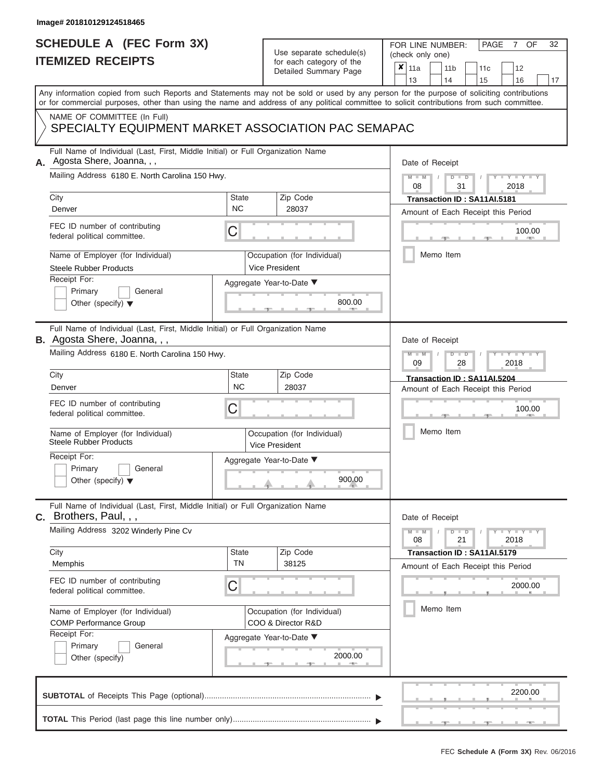### **SCHEDULE A (FEC Form 3X) ITEMIZED RECEIPTS**

# Use separate schedule(s)

| SCHEDULE A (FEC Form 3X)                                                                                                                                           |                           | Use separate schedule(s)                             | 32<br>FOR LINE NUMBER:<br>OF<br>PAGE<br>7<br>(check only one)                                                                                                                                                                                                                           |
|--------------------------------------------------------------------------------------------------------------------------------------------------------------------|---------------------------|------------------------------------------------------|-----------------------------------------------------------------------------------------------------------------------------------------------------------------------------------------------------------------------------------------------------------------------------------------|
| <b>ITEMIZED RECEIPTS</b>                                                                                                                                           |                           | for each category of the<br>Detailed Summary Page    | ×<br>11a<br>11 <sub>b</sub><br>12<br>11c<br>13<br>14<br>15<br>16<br>17                                                                                                                                                                                                                  |
|                                                                                                                                                                    |                           |                                                      | Any information copied from such Reports and Statements may not be sold or used by any person for the purpose of soliciting contributions<br>or for commercial purposes, other than using the name and address of any political committee to solicit contributions from such committee. |
| NAME OF COMMITTEE (In Full)<br>SPECIALTY EQUIPMENT MARKET ASSOCIATION PAC SEMAPAC                                                                                  |                           |                                                      |                                                                                                                                                                                                                                                                                         |
| Full Name of Individual (Last, First, Middle Initial) or Full Organization Name<br>Agosta Shere, Joanna, , ,<br>Mailing Address 6180 E. North Carolina 150 Hwy.    |                           |                                                      | Date of Receipt<br>$M - M$<br>$D$ $D$<br>$Y - Y - I$                                                                                                                                                                                                                                    |
| City<br>Denver                                                                                                                                                     | <b>State</b><br><b>NC</b> | Zip Code<br>28037                                    | 08<br>31<br>2018<br>Transaction ID: SA11AI.5181                                                                                                                                                                                                                                         |
| FEC ID number of contributing<br>federal political committee.                                                                                                      | С                         |                                                      | Amount of Each Receipt this Period<br>100.00<br><b>AND I</b>                                                                                                                                                                                                                            |
| Name of Employer (for Individual)<br><b>Steele Rubber Products</b>                                                                                                 |                           | Occupation (for Individual)<br><b>Vice President</b> | Memo Item                                                                                                                                                                                                                                                                               |
| Receipt For:<br>Primary<br>General<br>Other (specify) $\blacktriangledown$                                                                                         |                           | Aggregate Year-to-Date ▼<br>800.00                   |                                                                                                                                                                                                                                                                                         |
| Full Name of Individual (Last, First, Middle Initial) or Full Organization Name<br>B. Agosta Shere, Joanna, , ,<br>Mailing Address 6180 E. North Carolina 150 Hwy. |                           |                                                      | Date of Receipt<br>$M - M$<br>$D$ $D$<br>Y TYT                                                                                                                                                                                                                                          |
| City<br>Denver                                                                                                                                                     | <b>State</b><br><b>NC</b> | Zip Code<br>28037                                    | 09<br>2018<br>28<br>Transaction ID: SA11AI.5204<br>Amount of Each Receipt this Period                                                                                                                                                                                                   |
| FEC ID number of contributing<br>federal political committee.                                                                                                      | С                         |                                                      | 100.00                                                                                                                                                                                                                                                                                  |
| Name of Employer (for Individual)<br><b>Steele Rubber Products</b><br>Receipt For:                                                                                 |                           | Occupation (for Individual)<br><b>Vice President</b> | Memo Item                                                                                                                                                                                                                                                                               |
| Primary<br>General<br>Other (specify) $\blacktriangledown$                                                                                                         |                           | Aggregate Year-to-Date ▼<br>900.00                   |                                                                                                                                                                                                                                                                                         |
| Full Name of Individual (Last, First, Middle Initial) or Full Organization Name<br><b>C.</b> Brothers, Paul, , ,                                                   |                           |                                                      | Date of Receipt                                                                                                                                                                                                                                                                         |
| Mailing Address 3202 Winderly Pine Cv<br>City                                                                                                                      | <b>State</b>              | Zip Code                                             | $T-T$ $T$ $T$ $T$ $T$ $T$<br>$D$ $D$<br>08<br>21<br>2018<br>Transaction ID: SA11AI.5179                                                                                                                                                                                                 |
| Memphis<br>FEC ID number of contributing<br>federal political committee.                                                                                           | <b>TN</b><br>С            | 38125                                                | Amount of Each Receipt this Period<br>2000.00                                                                                                                                                                                                                                           |
| Name of Employer (for Individual)<br><b>COMP Performance Group</b>                                                                                                 |                           | Occupation (for Individual)<br>COO & Director R&D    | Memo Item                                                                                                                                                                                                                                                                               |
| Receipt For:<br>Primary<br>General<br>Other (specify)                                                                                                              |                           | Aggregate Year-to-Date ▼<br>2000.00                  |                                                                                                                                                                                                                                                                                         |
|                                                                                                                                                                    |                           |                                                      | 2200.00                                                                                                                                                                                                                                                                                 |
|                                                                                                                                                                    |                           |                                                      |                                                                                                                                                                                                                                                                                         |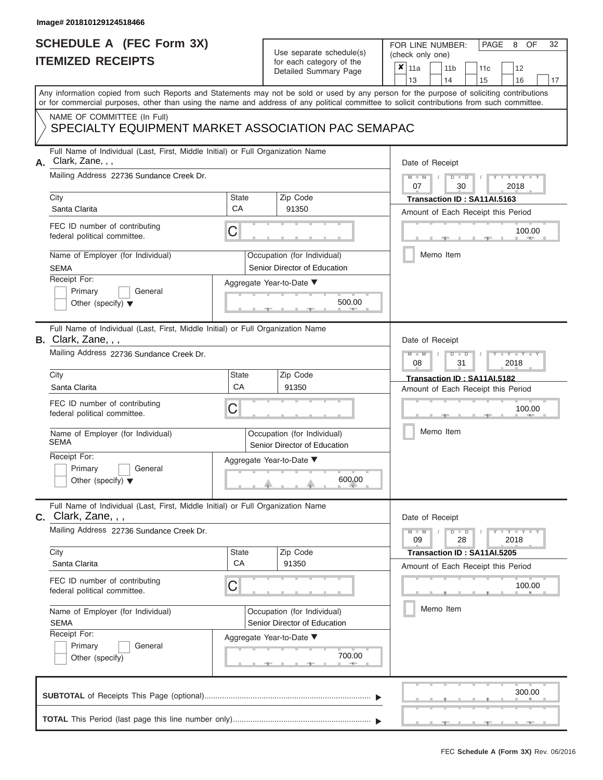# **SCHEDULE A (FEC Form 3X)**

# Use separate schedule(s)

| SCHEDULE A (FEC Form 3X)<br><b>ITEMIZED RECEIPTS</b>                                                                                                                                                                                                                                                                                                                              |                                | Use separate schedule(s)<br>for each category of the<br>Detailed Summary Page                                          | 32<br>FOR LINE NUMBER:<br>PAGE<br>OF<br>8<br>(check only one)<br>$\overline{\mathbf{x}}$   11a<br>11 <sub>b</sub><br>12<br>11 <sub>c</sub><br>13<br>14<br>15<br>16<br>17                                                                                          |
|-----------------------------------------------------------------------------------------------------------------------------------------------------------------------------------------------------------------------------------------------------------------------------------------------------------------------------------------------------------------------------------|--------------------------------|------------------------------------------------------------------------------------------------------------------------|-------------------------------------------------------------------------------------------------------------------------------------------------------------------------------------------------------------------------------------------------------------------|
| or for commercial purposes, other than using the name and address of any political committee to solicit contributions from such committee.<br>NAME OF COMMITTEE (In Full)<br>SPECIALTY EQUIPMENT MARKET ASSOCIATION PAC SEMAPAC                                                                                                                                                   |                                |                                                                                                                        | Any information copied from such Reports and Statements may not be sold or used by any person for the purpose of soliciting contributions                                                                                                                         |
| Full Name of Individual (Last, First, Middle Initial) or Full Organization Name<br>Clark, Zane, , ,<br>А.<br>Mailing Address 22736 Sundance Creek Dr.<br>City<br>Santa Clarita<br>FEC ID number of contributing<br>federal political committee.<br>Name of Employer (for Individual)<br><b>SEMA</b><br>Receipt For:<br>Primary<br>General<br>Other (specify) $\blacktriangledown$ | <b>State</b><br><b>CA</b><br>C | Zip Code<br>91350<br>Occupation (for Individual)<br>Senior Director of Education<br>Aggregate Year-to-Date ▼<br>500.00 | Date of Receipt<br>$M - M$ /<br>$D$ $D$<br>$-1 - Y - 1 - Y - 1$<br>07<br>30<br>2018<br>Transaction ID: SA11AI.5163<br>Amount of Each Receipt this Period<br>100.00<br><b>Brita Alberta</b><br>Memo Item                                                           |
| Full Name of Individual (Last, First, Middle Initial) or Full Organization Name<br>B. Clark, Zane, , ,<br>Mailing Address 22736 Sundance Creek Dr.<br>City<br>Santa Clarita<br>FEC ID number of contributing<br>federal political committee.<br>Name of Employer (for Individual)<br>SEMA<br>Receipt For:<br>Primary<br>General<br>Other (specify) $\blacktriangledown$           | <b>State</b><br>CA<br>C        | Zip Code<br>91350<br>Occupation (for Individual)<br>Senior Director of Education<br>Aggregate Year-to-Date ▼<br>600.00 | Date of Receipt<br>$M - M$<br>$D$ $\Box$ $D$<br>$T - Y = T - Y = T$<br>2018<br>08<br>31<br>Transaction ID: SA11AI.5182<br>Amount of Each Receipt this Period<br>100.00<br>Memo Item                                                                               |
| Full Name of Individual (Last, First, Middle Initial) or Full Organization Name<br>$c.$ Clark, Zane, , ,<br>Mailing Address 22736 Sundance Creek Dr.<br>City<br>Santa Clarita<br>FEC ID number of contributing<br>federal political committee.<br>Name of Employer (for Individual)<br><b>SEMA</b><br>Receipt For:<br>Primary<br>General<br>Other (specify)                       | State<br><b>CA</b><br>C        | Zip Code<br>91350<br>Occupation (for Individual)<br>Senior Director of Education<br>Aggregate Year-to-Date ▼<br>700.00 | Date of Receipt<br>$M - M$<br>$D$ $D$<br>$\blacksquare \blacksquare \mathsf{Y} \mathrel{\sqsubseteq} \mathsf{Y} \mathrel{\sqsubseteq} \mathsf{Y}$<br>09<br>28<br>2018<br>Transaction ID: SA11AI.5205<br>Amount of Each Receipt this Period<br>100.00<br>Memo Item |
|                                                                                                                                                                                                                                                                                                                                                                                   |                                |                                                                                                                        | 300.00                                                                                                                                                                                                                                                            |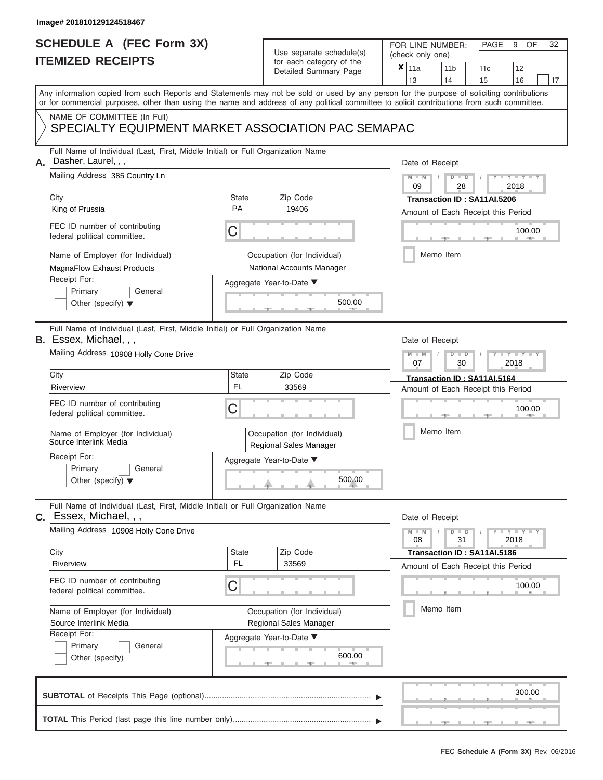### **SCHEDULE A (FEC Form 3X) ITEMIZED RECEIPTS**

# Use separate schedule(s)

| SCHEDULE A (FEC Form 3X)                                                                                                                                                                                                                                                                |                           | Use separate schedule(s)                                                             | 32<br>FOR LINE NUMBER:<br>PAGE<br>OF<br>9<br>(check only one)                                                                                  |
|-----------------------------------------------------------------------------------------------------------------------------------------------------------------------------------------------------------------------------------------------------------------------------------------|---------------------------|--------------------------------------------------------------------------------------|------------------------------------------------------------------------------------------------------------------------------------------------|
| <b>ITEMIZED RECEIPTS</b>                                                                                                                                                                                                                                                                |                           | for each category of the<br>Detailed Summary Page                                    | ×<br>11a<br>11 <sub>b</sub><br>12<br>11c<br>13<br>14<br>15<br>16<br>17                                                                         |
| Any information copied from such Reports and Statements may not be sold or used by any person for the purpose of soliciting contributions<br>or for commercial purposes, other than using the name and address of any political committee to solicit contributions from such committee. |                           |                                                                                      |                                                                                                                                                |
| NAME OF COMMITTEE (In Full)<br>SPECIALTY EQUIPMENT MARKET ASSOCIATION PAC SEMAPAC                                                                                                                                                                                                       |                           |                                                                                      |                                                                                                                                                |
| Full Name of Individual (Last, First, Middle Initial) or Full Organization Name<br>Dasher, Laurel, , ,<br>Mailing Address 385 Country Ln                                                                                                                                                |                           |                                                                                      | Date of Receipt<br>$M - M$<br>$D$ $D$<br>$Y - Y - I$<br>09<br>28<br>2018                                                                       |
| City<br>King of Prussia                                                                                                                                                                                                                                                                 | State<br><b>PA</b>        | Zip Code<br>19406                                                                    | Transaction ID: SA11AI.5206<br>Amount of Each Receipt this Period                                                                              |
| FEC ID number of contributing<br>federal political committee.                                                                                                                                                                                                                           | С                         |                                                                                      | 100.00<br><b>AND</b>                                                                                                                           |
| Name of Employer (for Individual)<br>MagnaFlow Exhaust Products<br>Receipt For:                                                                                                                                                                                                         |                           | Occupation (for Individual)<br>National Accounts Manager<br>Aggregate Year-to-Date ▼ | Memo Item                                                                                                                                      |
| Primary<br>General<br>Other (specify) $\blacktriangledown$                                                                                                                                                                                                                              |                           | 500.00                                                                               |                                                                                                                                                |
| Full Name of Individual (Last, First, Middle Initial) or Full Organization Name<br><b>B.</b> Essex, Michael, , ,<br>Mailing Address 10908 Holly Cone Drive                                                                                                                              |                           |                                                                                      | Date of Receipt<br>$M - M$<br>$D$ $\Box$ $D$<br>$\blacksquare$ $\blacksquare$ $\blacksquare$ $\blacksquare$ $\blacksquare$<br>2018<br>07<br>30 |
| City<br>Riverview                                                                                                                                                                                                                                                                       | <b>State</b><br><b>FL</b> | Zip Code<br>33569                                                                    | Transaction ID: SA11AI.5164<br>Amount of Each Receipt this Period                                                                              |
| FEC ID number of contributing<br>federal political committee.                                                                                                                                                                                                                           | С                         |                                                                                      | 100.00                                                                                                                                         |
| Name of Employer (for Individual)<br>Source Interlink Media                                                                                                                                                                                                                             |                           | Occupation (for Individual)<br>Regional Sales Manager                                | Memo Item                                                                                                                                      |
| Receipt For:<br>Primary<br>General<br>Other (specify) $\blacktriangledown$                                                                                                                                                                                                              |                           | Aggregate Year-to-Date ▼<br>500.00                                                   |                                                                                                                                                |
| Full Name of Individual (Last, First, Middle Initial) or Full Organization Name<br>C. Essex, Michael, , ,                                                                                                                                                                               |                           |                                                                                      | Date of Receipt                                                                                                                                |
| Mailing Address 10908 Holly Cone Drive<br>City                                                                                                                                                                                                                                          | <b>State</b>              | Zip Code                                                                             | $T-T$ $T$ $T$ $T$ $T$ $T$<br>$M - M$<br>$D$ $D$<br>08<br>31<br>2018<br>Transaction ID: SA11AI.5186                                             |
| Riverview<br>FEC ID number of contributing                                                                                                                                                                                                                                              | <b>FL</b>                 | 33569                                                                                | Amount of Each Receipt this Period                                                                                                             |
| federal political committee.                                                                                                                                                                                                                                                            | С                         |                                                                                      | 100.00<br>Memo Item                                                                                                                            |
| Name of Employer (for Individual)<br>Source Interlink Media<br>Receipt For:                                                                                                                                                                                                             |                           | Occupation (for Individual)<br>Regional Sales Manager                                |                                                                                                                                                |
| Primary<br>General<br>Other (specify)                                                                                                                                                                                                                                                   |                           | Aggregate Year-to-Date ▼<br>600.00                                                   |                                                                                                                                                |
|                                                                                                                                                                                                                                                                                         |                           |                                                                                      | 300.00                                                                                                                                         |
|                                                                                                                                                                                                                                                                                         |                           |                                                                                      |                                                                                                                                                |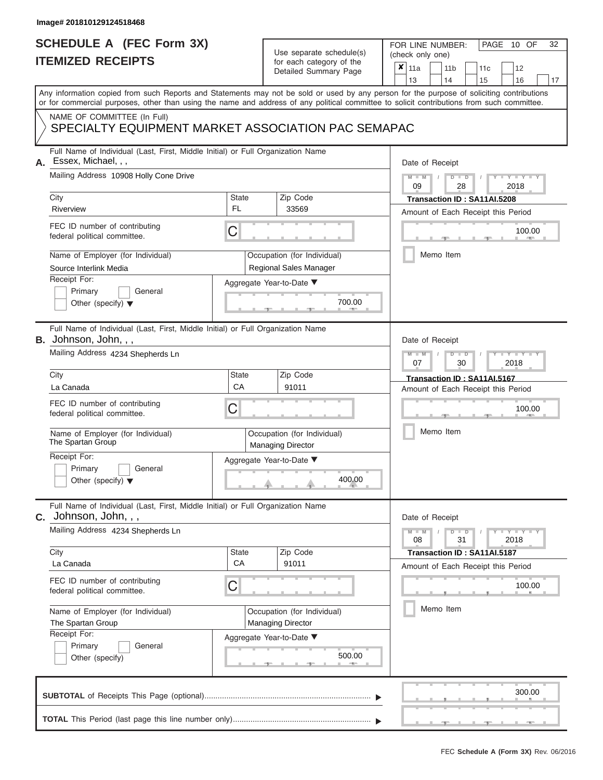# **SCHEDULE A (FEC Form 3X)**

# Use separate schedule(s)

| SCHEDULE A (FEC Form 3X)<br><b>ITEMIZED RECEIPTS</b>                                                                                                                                                                                                                                                                                                                                | Use separate schedule(s)<br>for each category of the<br>Detailed Summary Page                                                                      | 32<br>FOR LINE NUMBER:<br>PAGE<br>10 OF<br>(check only one)<br>$\boldsymbol{x}$<br>11a<br>11 <sub>b</sub><br>12<br>11c<br>13<br>14<br>15<br>16<br>17                                                                        |
|-------------------------------------------------------------------------------------------------------------------------------------------------------------------------------------------------------------------------------------------------------------------------------------------------------------------------------------------------------------------------------------|----------------------------------------------------------------------------------------------------------------------------------------------------|-----------------------------------------------------------------------------------------------------------------------------------------------------------------------------------------------------------------------------|
| Any information copied from such Reports and Statements may not be sold or used by any person for the purpose of soliciting contributions<br>or for commercial purposes, other than using the name and address of any political committee to solicit contributions from such committee.                                                                                             |                                                                                                                                                    |                                                                                                                                                                                                                             |
| NAME OF COMMITTEE (In Full)                                                                                                                                                                                                                                                                                                                                                         | SPECIALTY EQUIPMENT MARKET ASSOCIATION PAC SEMAPAC                                                                                                 |                                                                                                                                                                                                                             |
| Full Name of Individual (Last, First, Middle Initial) or Full Organization Name<br>Essex, Michael, , ,<br>Mailing Address 10908 Holly Cone Drive<br>City<br>Riverview<br>FEC ID number of contributing<br>federal political committee.<br>Name of Employer (for Individual)<br>Source Interlink Media<br>Receipt For:<br>Primary<br>General<br>Other (specify) $\blacktriangledown$ | Zip Code<br><b>State</b><br><b>FL</b><br>33569<br>C<br>Occupation (for Individual)<br>Regional Sales Manager<br>Aggregate Year-to-Date ▼<br>700.00 | Date of Receipt<br>$M - M$<br>$D$ $D$<br>$Y - Y - T$<br>09<br>28<br>2018<br>Transaction ID : SA11AI.5208<br>Amount of Each Receipt this Period<br>100.00<br><b>AND IN</b><br>Memo Item                                      |
| Full Name of Individual (Last, First, Middle Initial) or Full Organization Name<br>B. Johnson, John, , ,<br>Mailing Address 4234 Shepherds Ln<br>City<br>La Canada                                                                                                                                                                                                                  | <b>State</b><br>Zip Code<br>CA<br>91011                                                                                                            | Date of Receipt<br>$M - M$<br>$D$ $D$<br>$\blacksquare$ $\blacksquare$ $\blacksquare$ $\blacksquare$ $\blacksquare$ $\blacksquare$<br>07<br>2018<br>30<br>Transaction ID: SA11AI.5167<br>Amount of Each Receipt this Period |
| FEC ID number of contributing<br>federal political committee.<br>Name of Employer (for Individual)<br>The Spartan Group<br>Receipt For:<br>Primary<br>General<br>Other (specify) $\blacktriangledown$                                                                                                                                                                               | C<br>Occupation (for Individual)<br><b>Managing Director</b><br>Aggregate Year-to-Date ▼<br>400.00                                                 | 100.00<br>Memo Item                                                                                                                                                                                                         |
| Full Name of Individual (Last, First, Middle Initial) or Full Organization Name<br>C. Johnson, John, , ,<br>Mailing Address 4234 Shepherds Ln<br>City<br>La Canada<br>FEC ID number of contributing<br>federal political committee.                                                                                                                                                 | Zip Code<br><b>State</b><br>CA<br>91011<br>C                                                                                                       | Date of Receipt<br>$M - M$<br>$+Y + Y + Y$<br>$D$ $D$<br>08<br>31<br>2018<br>Transaction ID: SA11AI.5187<br>Amount of Each Receipt this Period<br>100.00                                                                    |
| Name of Employer (for Individual)<br>The Spartan Group<br>Receipt For:<br>Primary<br>General<br>Other (specify)                                                                                                                                                                                                                                                                     | Occupation (for Individual)<br><b>Managing Director</b><br>Aggregate Year-to-Date ▼<br>500.00                                                      | Memo Item                                                                                                                                                                                                                   |
|                                                                                                                                                                                                                                                                                                                                                                                     |                                                                                                                                                    | 300.00                                                                                                                                                                                                                      |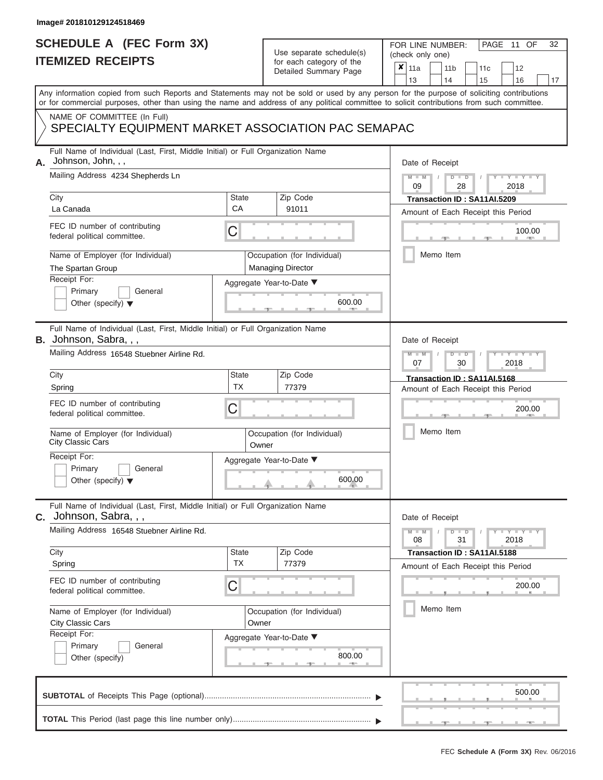# **SCHEDULE A (FEC Form 3X)**

# Use separate schedule(s)

| SCHEDULE A (FEC Form 3X)<br><b>ITEMIZED RECEIPTS</b>                                                                                                                                                                                                                                                                   |                           | Use separate schedule(s)<br>for each category of the<br>Detailed Summary Page | 32<br>FOR LINE NUMBER:<br>PAGE 11 OF<br>(check only one)<br>$\boldsymbol{x}$<br>11a<br>11 <sub>b</sub><br>12<br>11 <sub>c</sub><br>13<br>14<br>15<br>16<br>17                                                           |
|------------------------------------------------------------------------------------------------------------------------------------------------------------------------------------------------------------------------------------------------------------------------------------------------------------------------|---------------------------|-------------------------------------------------------------------------------|-------------------------------------------------------------------------------------------------------------------------------------------------------------------------------------------------------------------------|
| Any information copied from such Reports and Statements may not be sold or used by any person for the purpose of soliciting contributions<br>or for commercial purposes, other than using the name and address of any political committee to solicit contributions from such committee.<br>NAME OF COMMITTEE (In Full) |                           |                                                                               |                                                                                                                                                                                                                         |
| SPECIALTY EQUIPMENT MARKET ASSOCIATION PAC SEMAPAC                                                                                                                                                                                                                                                                     |                           |                                                                               |                                                                                                                                                                                                                         |
| Full Name of Individual (Last, First, Middle Initial) or Full Organization Name<br>Johnson, John, , ,<br>А.<br>Mailing Address 4234 Shepherds Ln<br>City<br>La Canada<br>FEC ID number of contributing<br>federal political committee.<br>Name of Employer (for Individual)<br>The Spartan Group<br>Receipt For:       | <b>State</b><br>CA<br>C   | Zip Code<br>91011<br>Occupation (for Individual)<br><b>Managing Director</b>  | Date of Receipt<br>$M - M$ /<br>$D$ $D$<br>$-1 - Y - 1 - Y - 1$<br>09<br>28<br>2018<br>Transaction ID: SA11AI.5209<br>Amount of Each Receipt this Period<br>100.00<br><b>AND IN</b><br>Memo Item                        |
| Primary<br>General<br>Other (specify) $\blacktriangledown$                                                                                                                                                                                                                                                             |                           | Aggregate Year-to-Date ▼<br>600.00                                            |                                                                                                                                                                                                                         |
| Full Name of Individual (Last, First, Middle Initial) or Full Organization Name<br>B. Johnson, Sabra, , ,<br>Mailing Address 16548 Stuebner Airline Rd.<br>City                                                                                                                                                        | <b>State</b><br><b>TX</b> | Zip Code<br>77379                                                             | Date of Receipt<br>$M - M$<br>$D$ $\Box$ $D$<br>$T - Y = T - Y = T$<br>2018<br>07<br>30<br>Transaction ID: SA11AI.5168                                                                                                  |
| Spring<br>FEC ID number of contributing<br>federal political committee.<br>Name of Employer (for Individual)<br>City Classic Cars<br>Receipt For:<br>Primary<br>General                                                                                                                                                | C<br>Owner                | Occupation (for Individual)<br>Aggregate Year-to-Date ▼                       | Amount of Each Receipt this Period<br>200.00<br>Memo Item                                                                                                                                                               |
| Other (specify) $\blacktriangledown$<br>Full Name of Individual (Last, First, Middle Initial) or Full Organization Name<br>C. Johnson, Sabra, , ,                                                                                                                                                                      |                           | 600.00                                                                        | Date of Receipt                                                                                                                                                                                                         |
| Mailing Address 16548 Stuebner Airline Rd.<br>City<br>Spring<br>FEC ID number of contributing                                                                                                                                                                                                                          | State<br><b>TX</b>        | Zip Code<br>77379                                                             | $M - M$<br>$D$ $D$<br>$\blacksquare \blacksquare \mathsf{Y} \mathrel{\sqsubseteq} \mathsf{Y} \mathrel{\sqsubseteq} \mathsf{Y}$<br>31<br>08<br>2018<br>Transaction ID: SA11AI.5188<br>Amount of Each Receipt this Period |
| federal political committee.<br>Name of Employer (for Individual)<br>City Classic Cars<br>Receipt For:<br>Primary<br>General<br>Other (specify)                                                                                                                                                                        | C<br>Owner                | Occupation (for Individual)<br>Aggregate Year-to-Date ▼<br>800.00             | 200.00<br>Memo Item                                                                                                                                                                                                     |
|                                                                                                                                                                                                                                                                                                                        |                           |                                                                               | 500.00                                                                                                                                                                                                                  |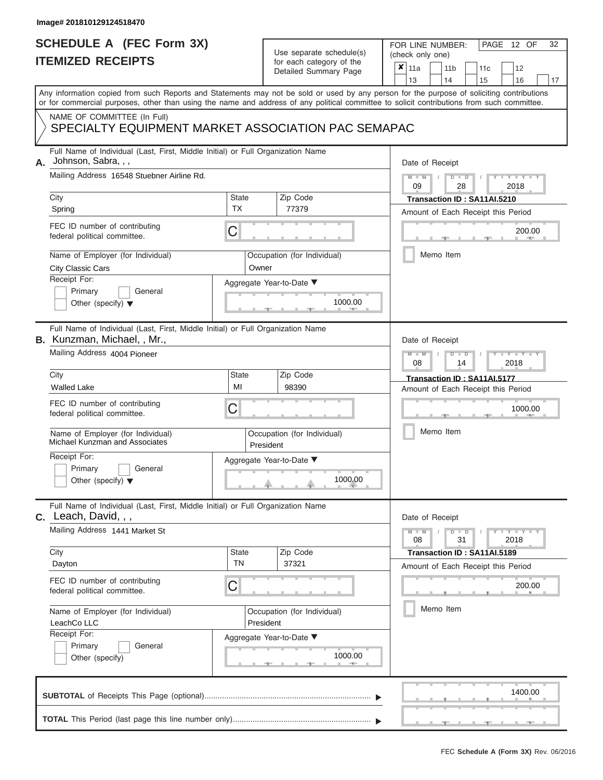# **SCHEDULE A (FEC Form 3X)**

# Use separate schedule(s)

| SCHEDULE A (FEC Form 3X)<br><b>ITEMIZED RECEIPTS</b>                                                                                                                                                                                                                                                                                                                                                      |                                         | Use separate schedule(s)<br>for each category of the<br>Detailed Summary Page                        | 32<br>FOR LINE NUMBER:<br>PAGE 12 OF<br>(check only one)<br>$\boldsymbol{x}$<br>11a<br>11 <sub>b</sub><br>12<br>11 <sub>c</sub>                                                  |
|-----------------------------------------------------------------------------------------------------------------------------------------------------------------------------------------------------------------------------------------------------------------------------------------------------------------------------------------------------------------------------------------------------------|-----------------------------------------|------------------------------------------------------------------------------------------------------|----------------------------------------------------------------------------------------------------------------------------------------------------------------------------------|
| Any information copied from such Reports and Statements may not be sold or used by any person for the purpose of soliciting contributions                                                                                                                                                                                                                                                                 |                                         |                                                                                                      | 13<br>14<br>15<br>16<br>17                                                                                                                                                       |
| or for commercial purposes, other than using the name and address of any political committee to solicit contributions from such committee.                                                                                                                                                                                                                                                                |                                         |                                                                                                      |                                                                                                                                                                                  |
| NAME OF COMMITTEE (In Full)<br>SPECIALTY EQUIPMENT MARKET ASSOCIATION PAC SEMAPAC                                                                                                                                                                                                                                                                                                                         |                                         |                                                                                                      |                                                                                                                                                                                  |
| Full Name of Individual (Last, First, Middle Initial) or Full Organization Name<br>Johnson, Sabra, , ,<br>А.<br>Mailing Address 16548 Stuebner Airline Rd.<br>City<br>Spring<br>FEC ID number of contributing<br>federal political committee.<br>Name of Employer (for Individual)<br><b>City Classic Cars</b>                                                                                            | <b>State</b><br><b>TX</b><br>С<br>Owner | Zip Code<br>77379<br>Occupation (for Individual)                                                     | Date of Receipt<br>$M - M$ /<br>$D$ $D$<br>Y Y H<br>09<br>28<br>2018<br>Transaction ID: SA11AI.5210<br>Amount of Each Receipt this Period<br>200.00<br><b>AND A</b><br>Memo Item |
| Receipt For:<br>Primary<br>General<br>Other (specify) $\blacktriangledown$                                                                                                                                                                                                                                                                                                                                |                                         | Aggregate Year-to-Date ▼<br>1000.00                                                                  |                                                                                                                                                                                  |
| Full Name of Individual (Last, First, Middle Initial) or Full Organization Name<br><b>B.</b> Kunzman, Michael, , Mr.,<br>Mailing Address 4004 Pioneer<br>City<br><b>Walled Lake</b><br>FEC ID number of contributing<br>federal political committee.<br>Name of Employer (for Individual)<br>Michael Kunzman and Associates<br>Receipt For:<br>Primary<br>General<br>Other (specify) $\blacktriangledown$ | <b>State</b><br>MI<br>С                 | Zip Code<br>98390<br>Occupation (for Individual)<br>President<br>Aggregate Year-to-Date ▼<br>1000.00 | Date of Receipt<br>$M - M$<br>$D$ $D$<br>Y TY<br>08<br>2018<br>14<br>Transaction ID: SA11AI.5177<br>Amount of Each Receipt this Period<br>1000.00<br>Memo Item                   |
| Full Name of Individual (Last, First, Middle Initial) or Full Organization Name<br>C. Leach, David, , ,<br>Mailing Address 1441 Market St<br>City<br>Dayton<br>FEC ID number of contributing<br>federal political committee.<br>Name of Employer (for Individual)<br>LeachCo LLC<br>Receipt For:<br>Primary<br>General<br>Other (specify)                                                                 | <b>State</b><br><b>TN</b><br>С          | Zip Code<br>37321<br>Occupation (for Individual)<br>President<br>Aggregate Year-to-Date ▼<br>1000.00 | Date of Receipt<br>$M - M$<br>$D$ $D$<br>$-1 - Y - 1 - Y - 1$<br>31<br>2018<br>08<br>Transaction ID: SA11AI.5189<br>Amount of Each Receipt this Period<br>200.00<br>Memo Item    |
|                                                                                                                                                                                                                                                                                                                                                                                                           |                                         |                                                                                                      | 1400.00                                                                                                                                                                          |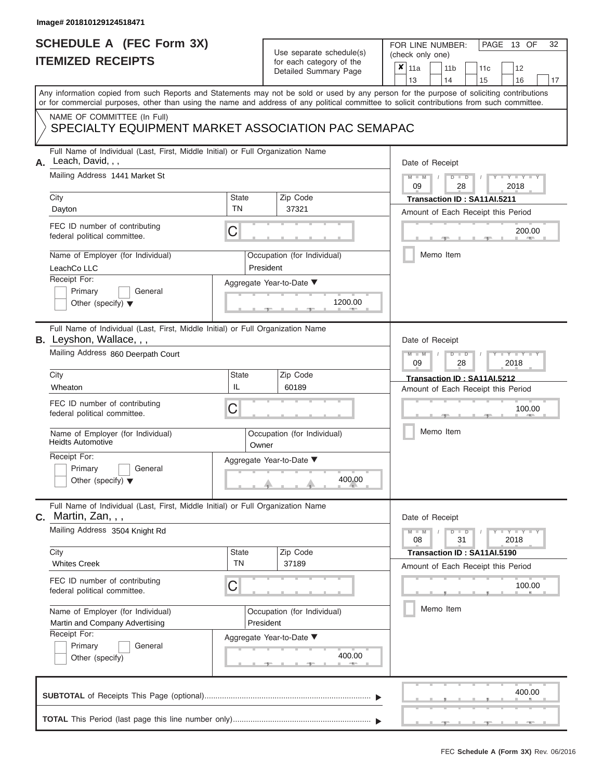# **SCHEDULE A (FEC Form 3X)**

### Use separate schedule(s)

| SCHEDULE A (FEC Form 3X)<br><b>ITEMIZED RECEIPTS</b>                                                                                                                                                                                                                                                                                                                                        |                                  | Use separate schedule(s)<br>for each category of the<br>Detailed Summary Page                        | 32<br>FOR LINE NUMBER:<br>PAGE 13 OF<br>(check only one)<br>$\boldsymbol{x}$<br>11a<br>11 <sub>b</sub><br>12<br>11 <sub>c</sub><br>13<br>14<br>16                                                       |
|---------------------------------------------------------------------------------------------------------------------------------------------------------------------------------------------------------------------------------------------------------------------------------------------------------------------------------------------------------------------------------------------|----------------------------------|------------------------------------------------------------------------------------------------------|---------------------------------------------------------------------------------------------------------------------------------------------------------------------------------------------------------|
| or for commercial purposes, other than using the name and address of any political committee to solicit contributions from such committee.<br>NAME OF COMMITTEE (In Full)<br>SPECIALTY EQUIPMENT MARKET ASSOCIATION PAC SEMAPAC                                                                                                                                                             |                                  |                                                                                                      | 15<br>17<br>Any information copied from such Reports and Statements may not be sold or used by any person for the purpose of soliciting contributions                                                   |
| Full Name of Individual (Last, First, Middle Initial) or Full Organization Name<br>Leach, David, , ,<br>А.<br>Mailing Address 1441 Market St<br>City<br>Dayton<br>FEC ID number of contributing<br>federal political committee.<br>Name of Employer (for Individual)<br>LeachCo LLC<br>Receipt For:<br>Primary<br>General<br>Other (specify) $\blacktriangledown$                           | <b>State</b><br><b>TN</b><br>C   | Zip Code<br>37321<br>Occupation (for Individual)<br>President<br>Aggregate Year-to-Date ▼<br>1200.00 | Date of Receipt<br>$M - M$ /<br>$D$ $D$<br>$-1 - Y - 1 - Y - 1$<br>09<br>28<br>2018<br>Transaction ID: SA11AI.5211<br>Amount of Each Receipt this Period<br>200.00<br><b>Brita Alberta</b><br>Memo Item |
| Full Name of Individual (Last, First, Middle Initial) or Full Organization Name<br><b>B.</b> Leyshon, Wallace, , ,<br>Mailing Address 860 Deerpath Court<br>City<br>Wheaton<br>FEC ID number of contributing<br>federal political committee.<br>Name of Employer (for Individual)<br><b>Heidts Automotive</b><br>Receipt For:<br>Primary<br>General<br>Other (specify) $\blacktriangledown$ | <b>State</b><br>IL<br>C<br>Owner | Zip Code<br>60189<br>Occupation (for Individual)<br>Aggregate Year-to-Date ▼<br>400.00               | Date of Receipt<br>$M - M$<br>$D$ $\Box$ $D$<br>$T - Y = T - T$<br>09<br>2018<br>28<br>Transaction ID: SA11AI.5212<br>Amount of Each Receipt this Period<br>100.00<br>Memo Item                         |
| Full Name of Individual (Last, First, Middle Initial) or Full Organization Name<br>$c.$ Martin, Zan, , ,<br>Mailing Address 3504 Knight Rd<br>City<br><b>Whites Creek</b><br>FEC ID number of contributing<br>federal political committee.<br>Name of Employer (for Individual)<br>Martin and Company Advertising<br>Receipt For:<br>Primary<br>General<br>Other (specify)                  | State<br><b>TN</b><br>C          | Zip Code<br>37189<br>Occupation (for Individual)<br>President<br>Aggregate Year-to-Date ▼<br>400.00  | Date of Receipt<br>$M - M$<br>$D$ $D$<br>31<br>08<br>2018<br>Transaction ID: SA11AI.5190<br>Amount of Each Receipt this Period<br>100.00<br>Memo Item                                                   |
|                                                                                                                                                                                                                                                                                                                                                                                             |                                  |                                                                                                      | 400.00                                                                                                                                                                                                  |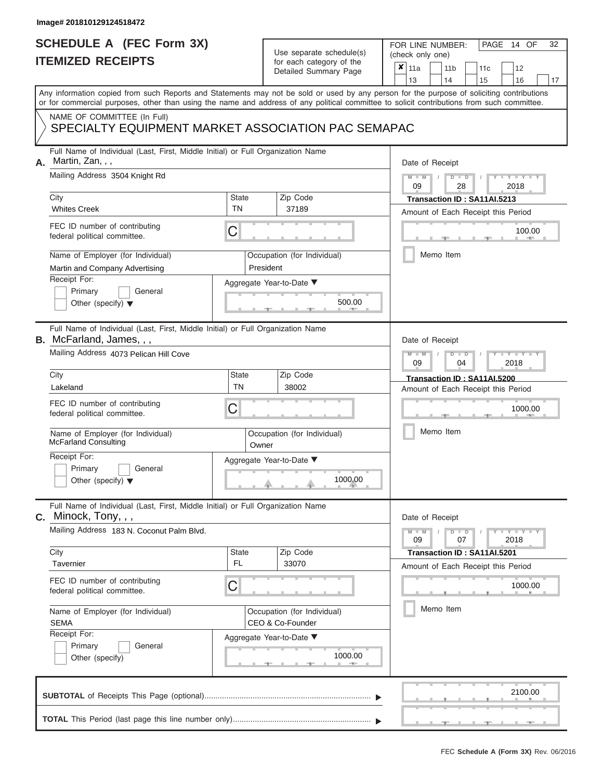### **SCHEDULE A (FEC Form 3X) ITEMIZED RECEIPTS**

FOR LINE NUMBER:<br>(check only one)

PAGE 14 OF 32

|                                                                    | <b>ILEMILED REVEIF IS</b><br>ior each calegory of the<br>Detailed Summary Page                                                                                                                                                                                                          |                                          |                                                 |                                     | x                           | 11a             |           |           | 11 <sub>b</sub>                                       |    | 11c                                |    | 12                  |  |  |
|--------------------------------------------------------------------|-----------------------------------------------------------------------------------------------------------------------------------------------------------------------------------------------------------------------------------------------------------------------------------------|------------------------------------------|-------------------------------------------------|-------------------------------------|-----------------------------|-----------------|-----------|-----------|-------------------------------------------------------|----|------------------------------------|----|---------------------|--|--|
|                                                                    |                                                                                                                                                                                                                                                                                         |                                          |                                                 |                                     | 13                          |                 |           | 14        |                                                       | 15 |                                    | 16 | 17                  |  |  |
|                                                                    | Any information copied from such Reports and Statements may not be sold or used by any person for the purpose of soliciting contributions<br>or for commercial purposes, other than using the name and address of any political committee to solicit contributions from such committee. |                                          |                                                 |                                     |                             |                 |           |           |                                                       |    |                                    |    |                     |  |  |
|                                                                    | NAME OF COMMITTEE (In Full)<br>SPECIALTY EQUIPMENT MARKET ASSOCIATION PAC SEMAPAC                                                                                                                                                                                                       |                                          |                                                 |                                     |                             |                 |           |           |                                                       |    |                                    |    |                     |  |  |
| А.                                                                 | Full Name of Individual (Last, First, Middle Initial) or Full Organization Name<br>Martin, Zan, , ,                                                                                                                                                                                     |                                          |                                                 |                                     |                             | Date of Receipt |           |           |                                                       |    |                                    |    |                     |  |  |
|                                                                    | Mailing Address 3504 Knight Rd                                                                                                                                                                                                                                                          |                                          |                                                 |                                     |                             |                 |           |           | $M - M$<br>$Y - Y - Y$<br>$D$ $D$<br>09<br>28<br>2018 |    |                                    |    |                     |  |  |
|                                                                    | City                                                                                                                                                                                                                                                                                    | State                                    |                                                 | Zip Code                            |                             |                 |           |           |                                                       |    | Transaction ID: SA11AI.5213        |    |                     |  |  |
|                                                                    | <b>Whites Creek</b>                                                                                                                                                                                                                                                                     | <b>TN</b>                                |                                                 | 37189                               |                             |                 |           |           |                                                       |    | Amount of Each Receipt this Period |    |                     |  |  |
|                                                                    | FEC ID number of contributing<br>C<br>federal political committee.                                                                                                                                                                                                                      |                                          |                                                 |                                     |                             |                 |           |           |                                                       |    |                                    |    | 100.00              |  |  |
|                                                                    | Name of Employer (for Individual)<br>Martin and Company Advertising                                                                                                                                                                                                                     | Occupation (for Individual)<br>President |                                                 |                                     |                             |                 | Memo Item |           |                                                       |    |                                    |    |                     |  |  |
|                                                                    | Receipt For:<br>Aggregate Year-to-Date ▼<br>Primary<br>General<br>500.00<br>Other (specify) $\blacktriangledown$                                                                                                                                                                        |                                          |                                                 |                                     |                             |                 |           |           |                                                       |    |                                    |    |                     |  |  |
|                                                                    | Full Name of Individual (Last, First, Middle Initial) or Full Organization Name<br><b>B.</b> McFarland, James, , ,                                                                                                                                                                      |                                          |                                                 |                                     |                             | Date of Receipt |           |           |                                                       |    |                                    |    |                     |  |  |
|                                                                    | Mailing Address 4073 Pelican Hill Cove                                                                                                                                                                                                                                                  |                                          |                                                 |                                     |                             | $M - M$<br>09   |           |           | $D$ $D$<br>04                                         |    |                                    |    | $Y - Y - I$<br>2018 |  |  |
|                                                                    | City                                                                                                                                                                                                                                                                                    | State                                    |                                                 | Zip Code                            | Transaction ID: SA11AI.5200 |                 |           |           |                                                       |    |                                    |    |                     |  |  |
|                                                                    | Lakeland                                                                                                                                                                                                                                                                                | <b>TN</b>                                |                                                 | 38002                               |                             |                 |           |           |                                                       |    | Amount of Each Receipt this Period |    |                     |  |  |
| FEC ID number of contributing<br>С<br>federal political committee. |                                                                                                                                                                                                                                                                                         |                                          |                                                 |                                     |                             |                 |           |           |                                                       |    |                                    |    | 1000.00             |  |  |
|                                                                    | Name of Employer (for Individual)<br>McFarland Consulting                                                                                                                                                                                                                               | Owner                                    | Occupation (for Individual)                     |                                     |                             |                 |           | Memo Item |                                                       |    |                                    |    |                     |  |  |
|                                                                    | Receipt For:<br>Primary<br>General<br>Other (specify) $\blacktriangledown$                                                                                                                                                                                                              |                                          |                                                 | Aggregate Year-to-Date ▼<br>1000.00 |                             |                 |           |           |                                                       |    |                                    |    |                     |  |  |
|                                                                    | Full Name of Individual (Last, First, Middle Initial) or Full Organization Name<br>C. Minock, Tony, , ,                                                                                                                                                                                 |                                          |                                                 |                                     |                             | Date of Receipt |           |           |                                                       |    |                                    |    |                     |  |  |
|                                                                    | Mailing Address 183 N. Coconut Palm Blvd.                                                                                                                                                                                                                                               |                                          |                                                 |                                     |                             | $M - M$<br>09   |           |           | $D$ $D$<br>07                                         |    |                                    |    | $+Y+Y+Y$<br>2018    |  |  |
|                                                                    | City                                                                                                                                                                                                                                                                                    | <b>State</b>                             |                                                 | Zip Code                            |                             |                 |           |           |                                                       |    | Transaction ID: SA11AI.5201        |    |                     |  |  |
|                                                                    | Tavernier                                                                                                                                                                                                                                                                               | FL.                                      |                                                 | 33070                               |                             |                 |           |           |                                                       |    | Amount of Each Receipt this Period |    |                     |  |  |
|                                                                    | FEC ID number of contributing<br>C<br>federal political committee.                                                                                                                                                                                                                      |                                          |                                                 |                                     |                             |                 |           |           |                                                       |    |                                    |    | 1000.00             |  |  |
|                                                                    | Name of Employer (for Individual)<br><b>SEMA</b>                                                                                                                                                                                                                                        |                                          | Occupation (for Individual)<br>CEO & Co-Founder |                                     | Memo Item                   |                 |           |           |                                                       |    |                                    |    |                     |  |  |
|                                                                    | Receipt For:<br>General<br>Primary<br>Other (specify)                                                                                                                                                                                                                                   |                                          |                                                 | Aggregate Year-to-Date ▼<br>1000.00 |                             |                 |           |           |                                                       |    |                                    |    |                     |  |  |
|                                                                    |                                                                                                                                                                                                                                                                                         |                                          |                                                 |                                     |                             |                 |           |           |                                                       |    |                                    |    | 2100.00             |  |  |
|                                                                    |                                                                                                                                                                                                                                                                                         |                                          |                                                 |                                     |                             |                 |           |           |                                                       |    |                                    |    |                     |  |  |

 ▲ ▲ ▲ , , .

L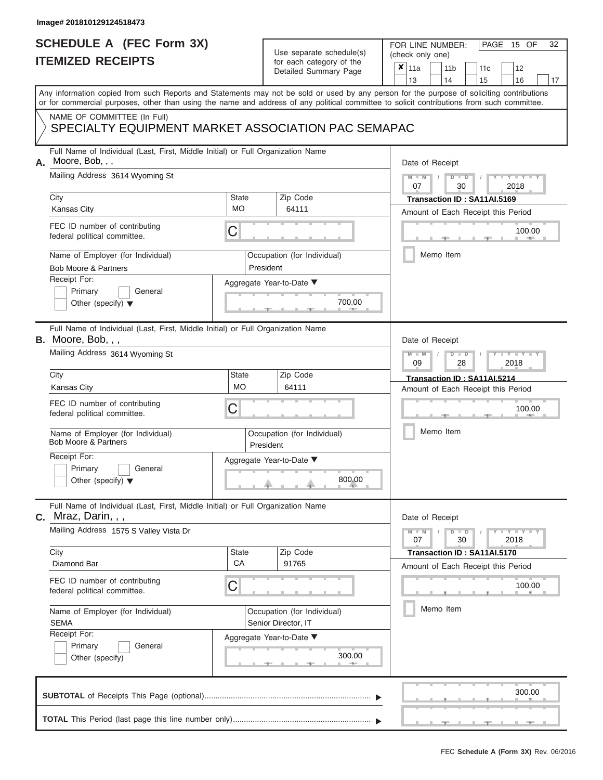# **SCHEDULE A (FEC Form 3X)**

## Use separate schedule(s)

| SCHEDULE A (FEC Form 3X)<br><b>ITEMIZED RECEIPTS</b>                                                                                                                                                                                                                                                                                                                                                   |                                | Use separate schedule(s)<br>for each category of the<br>Detailed Summary Page                                 | 32<br>FOR LINE NUMBER:<br>PAGE 15 OF<br>(check only one)<br>$\overline{\mathbf{x}}$   11a<br>11 <sub>b</sub><br>11c<br>12<br>13<br>14<br>15<br>16<br>17                                                                                                           |
|--------------------------------------------------------------------------------------------------------------------------------------------------------------------------------------------------------------------------------------------------------------------------------------------------------------------------------------------------------------------------------------------------------|--------------------------------|---------------------------------------------------------------------------------------------------------------|-------------------------------------------------------------------------------------------------------------------------------------------------------------------------------------------------------------------------------------------------------------------|
| Any information copied from such Reports and Statements may not be sold or used by any person for the purpose of soliciting contributions<br>or for commercial purposes, other than using the name and address of any political committee to solicit contributions from such committee.<br>NAME OF COMMITTEE (In Full)<br>SPECIALTY EQUIPMENT MARKET ASSOCIATION PAC SEMAPAC                           |                                |                                                                                                               |                                                                                                                                                                                                                                                                   |
| Full Name of Individual (Last, First, Middle Initial) or Full Organization Name<br>Moore, Bob, , ,<br>А.<br>Mailing Address 3614 Wyoming St<br>City<br><b>Kansas City</b><br>FEC ID number of contributing<br>federal political committee.<br>Name of Employer (for Individual)<br>Bob Moore & Partners<br>Receipt For:<br>Primary<br>General<br>Other (specify) $\blacktriangledown$                  | <b>State</b><br><b>MO</b><br>С | Zip Code<br>64111<br>Occupation (for Individual)<br>President<br>Aggregate Year-to-Date ▼<br>700.00           | Date of Receipt<br>$M = M$ /<br>$D$ $D$<br>Y TY T<br>07<br>30<br>2018<br>Transaction ID: SA11AI.5169<br>Amount of Each Receipt this Period<br>100.00<br><b>CONTRACTOR</b><br>Memo Item                                                                            |
| Full Name of Individual (Last, First, Middle Initial) or Full Organization Name<br><b>B.</b> Moore, Bob, $,$ ,<br>Mailing Address 3614 Wyoming St<br>City<br><b>Kansas City</b><br>FEC ID number of contributing<br>federal political committee.<br>Name of Employer (for Individual)<br><b>Bob Moore &amp; Partners</b><br>Receipt For:<br>Primary<br>General<br>Other (specify) $\blacktriangledown$ | State<br><b>MO</b><br>С        | Zip Code<br>64111<br>Occupation (for Individual)<br>President<br>Aggregate Year-to-Date ▼<br>800.00           | Date of Receipt<br>$M - M$<br>$D$ $\Box$ $D$<br>$\Box$ $\Upsilon$ $\Box$ $\Upsilon$ $\Box$ $\Box$<br>09<br>2018<br>28<br>Transaction ID: SA11AI.5214<br>Amount of Each Receipt this Period<br>100.00<br>Memo Item                                                 |
| Full Name of Individual (Last, First, Middle Initial) or Full Organization Name<br>$c.$ Mraz, Darin, , ,<br>Mailing Address 1575 S Valley Vista Dr<br>City<br>Diamond Bar<br>FEC ID number of contributing<br>federal political committee.<br>Name of Employer (for Individual)<br><b>SEMA</b><br>Receipt For:<br>Primary<br>General<br>Other (specify)                                                | <b>State</b><br><b>CA</b><br>С | Zip Code<br>91765<br>Occupation (for Individual)<br>Senior Director, IT<br>Aggregate Year-to-Date ▼<br>300.00 | Date of Receipt<br>$M - M$<br>$D$ $D$<br>$\blacksquare \blacksquare \mathsf{Y} \mathrel{\sqsubseteq} \mathsf{Y} \mathrel{\sqsubseteq} \mathsf{Y}$<br>30<br>07<br>2018<br>Transaction ID: SA11AI.5170<br>Amount of Each Receipt this Period<br>100.00<br>Memo Item |
|                                                                                                                                                                                                                                                                                                                                                                                                        |                                |                                                                                                               | 300.00                                                                                                                                                                                                                                                            |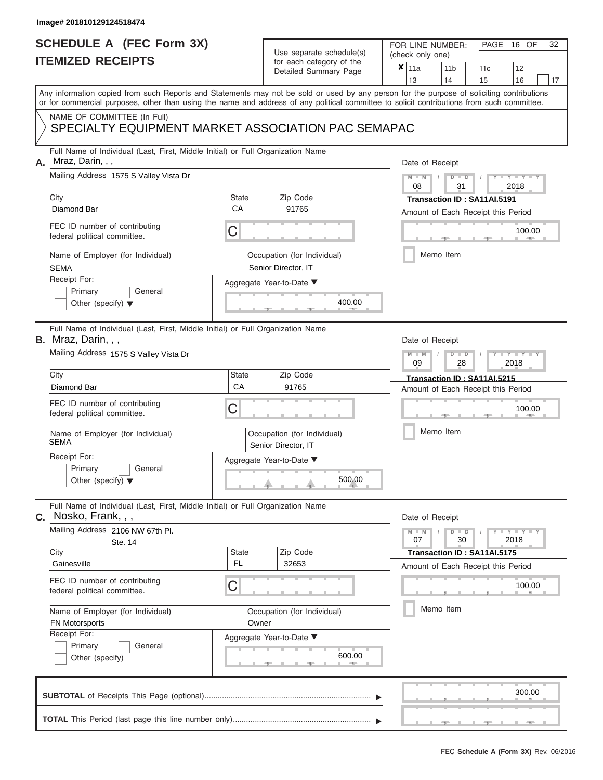# **SCHEDULE A (FEC Form 3X)**

# Use separate schedule(s)

| SCHEDULE A (FEC Form 3X)<br><b>ITEMIZED RECEIPTS</b>                                                                                                                                                                                                                                                                                                                       |                                   | Use separate schedule(s)<br>for each category of the<br>Detailed Summary Page                                 | 32<br>FOR LINE NUMBER:<br>PAGE<br>16 OF<br>(check only one)<br>$\boldsymbol{x}$<br>11a<br>11 <sub>b</sub><br>12<br>11c                                                                  |
|----------------------------------------------------------------------------------------------------------------------------------------------------------------------------------------------------------------------------------------------------------------------------------------------------------------------------------------------------------------------------|-----------------------------------|---------------------------------------------------------------------------------------------------------------|-----------------------------------------------------------------------------------------------------------------------------------------------------------------------------------------|
| Any information copied from such Reports and Statements may not be sold or used by any person for the purpose of soliciting contributions                                                                                                                                                                                                                                  |                                   |                                                                                                               | 13<br>14<br>15<br>16<br>17                                                                                                                                                              |
| or for commercial purposes, other than using the name and address of any political committee to solicit contributions from such committee.                                                                                                                                                                                                                                 |                                   |                                                                                                               |                                                                                                                                                                                         |
| NAME OF COMMITTEE (In Full)<br>SPECIALTY EQUIPMENT MARKET ASSOCIATION PAC SEMAPAC                                                                                                                                                                                                                                                                                          |                                   |                                                                                                               |                                                                                                                                                                                         |
| Full Name of Individual (Last, First, Middle Initial) or Full Organization Name<br>Mraz, Darin, , ,<br>А.<br>Mailing Address 1575 S Valley Vista Dr<br>City<br>Diamond Bar<br>FEC ID number of contributing<br>federal political committee.<br>Name of Employer (for Individual)<br><b>SEMA</b><br>Receipt For:                                                            | State<br>CA<br>С                  | Zip Code<br>91765<br>Occupation (for Individual)<br>Senior Director, IT<br>Aggregate Year-to-Date ▼           | Date of Receipt<br>$M - M$ /<br>$D$ $\Box$ $D$<br>Y Y H<br>08<br>31<br>2018<br>Transaction ID: SA11AI.5191<br>Amount of Each Receipt this Period<br>100.00<br><b>AND A</b><br>Memo Item |
| Primary<br>General<br>Other (specify) $\blacktriangledown$                                                                                                                                                                                                                                                                                                                 |                                   | 400.00                                                                                                        |                                                                                                                                                                                         |
| Full Name of Individual (Last, First, Middle Initial) or Full Organization Name<br><b>B.</b> Mraz, Darin, , ,<br>Mailing Address 1575 S Valley Vista Dr<br>City<br>Diamond Bar<br>FEC ID number of contributing<br>federal political committee.<br>Name of Employer (for Individual)<br>SEMA<br>Receipt For:<br>Primary<br>General<br>Other (specify) $\blacktriangledown$ | State<br>CA<br>С                  | Zip Code<br>91765<br>Occupation (for Individual)<br>Senior Director, IT<br>Aggregate Year-to-Date ▼<br>500.00 | Date of Receipt<br>$M - M$<br>$D$ $D$<br>Y TYT<br>09<br>2018<br>28<br>Transaction ID: SA11AI.5215<br>Amount of Each Receipt this Period<br>100.00<br>Memo Item                          |
| Full Name of Individual (Last, First, Middle Initial) or Full Organization Name<br>$c.$ Nosko, Frank, , ,<br>Mailing Address 2106 NW 67th Pl.<br>Ste. 14<br>City<br>Gainesville<br>FEC ID number of contributing<br>federal political committee.<br>Name of Employer (for Individual)<br>FN Motorsports<br>Receipt For:<br>Primary<br>General<br>Other (specify)           | <b>State</b><br>FL.<br>С<br>Owner | Zip Code<br>32653<br>Occupation (for Individual)<br>Aggregate Year-to-Date ▼<br>600.00                        | Date of Receipt<br>$M - M$<br>$D$ $D$<br>$+Y+Y+Y$<br>07<br>30<br>2018<br>Transaction ID: SA11AI.5175<br>Amount of Each Receipt this Period<br>100.00<br>Memo Item                       |
|                                                                                                                                                                                                                                                                                                                                                                            |                                   |                                                                                                               | 300.00                                                                                                                                                                                  |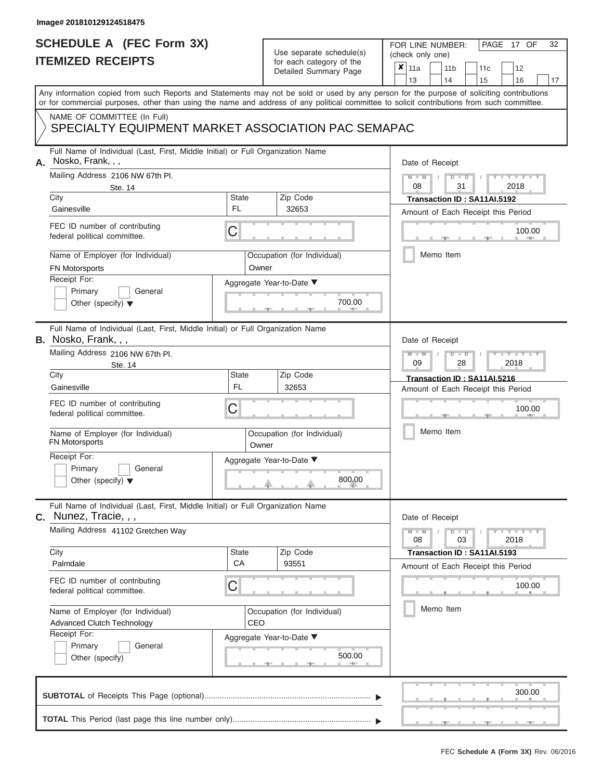### **SCHEDULE A (FEC Form 3X) ITEMIZED RECEIPTS**

# Use separate schedule(s)

| SCHEDULE A (FEC Form 3X)<br><b>ITEMIZED RECEIPTS</b>                                                                                                                                                                                                                                                                                                                                       |                                  | Use separate schedule(s)<br>for each category of the<br>Detailed Summary Page          | 32<br>FOR LINE NUMBER:<br>PAGE 17 OF<br>(check only one)<br>$\boldsymbol{x}$<br>11a<br>11 <sub>b</sub><br>11c<br>12<br>13<br>14<br>15<br>16<br>17                                                  |
|--------------------------------------------------------------------------------------------------------------------------------------------------------------------------------------------------------------------------------------------------------------------------------------------------------------------------------------------------------------------------------------------|----------------------------------|----------------------------------------------------------------------------------------|----------------------------------------------------------------------------------------------------------------------------------------------------------------------------------------------------|
| Any information copied from such Reports and Statements may not be sold or used by any person for the purpose of soliciting contributions<br>or for commercial purposes, other than using the name and address of any political committee to solicit contributions from such committee.<br>NAME OF COMMITTEE (In Full)<br>SPECIALTY EQUIPMENT MARKET ASSOCIATION PAC SEMAPAC               |                                  |                                                                                        |                                                                                                                                                                                                    |
| Full Name of Individual (Last, First, Middle Initial) or Full Organization Name<br>A. Nosko, Frank, , ,<br>Mailing Address 2106 NW 67th Pl.<br>Ste. 14<br>City<br>Gainesville<br>FEC ID number of contributing<br>federal political committee.<br>Name of Employer (for Individual)<br><b>FN Motorsports</b><br>Receipt For:<br>Primary<br>General<br>Other (specify) $\blacktriangledown$ | State<br><b>FL</b><br>С<br>Owner | Zip Code<br>32653<br>Occupation (for Individual)<br>Aggregate Year-to-Date ▼<br>700.00 | Date of Receipt<br>$M = M$ /<br>$D$ $D$<br>$Y - Y - I$<br>08<br>31<br>2018<br>Transaction ID: SA11AI.5192<br>Amount of Each Receipt this Period<br>100.00<br><b>Contract Contract</b><br>Memo Item |
| Full Name of Individual (Last, First, Middle Initial) or Full Organization Name<br><b>B.</b> Nosko, Frank, , ,<br>Mailing Address 2106 NW 67th Pl.<br>Ste. 14<br>City<br>Gainesville<br>FEC ID number of contributing<br>federal political committee.<br>Name of Employer (for Individual)<br>FN Motorsports<br>Receipt For:<br>Primary<br>General<br>Other (specify) $\blacktriangledown$ | State<br><b>FL</b><br>С<br>Owner | Zip Code<br>32653<br>Occupation (for Individual)<br>Aggregate Year-to-Date ▼<br>800.00 | Date of Receipt<br>$M - M$<br>$D$ $\Box$ $D$<br>Y I Y I<br>09<br>2018<br>28<br>Transaction ID: SA11AI.5216<br>Amount of Each Receipt this Period<br>100.00<br>Memo Item                            |
| Full Name of Individual (Last, First, Middle Initial) or Full Organization Name<br>$c.$ Nunez, Tracie, , ,<br>Mailing Address 41102 Gretchen Way<br>City<br>Palmdale<br>FEC ID number of contributing<br>federal political committee.<br>Name of Employer (for Individual)<br><b>Advanced Clutch Technology</b><br>Receipt For:<br>Primary<br>General<br>Other (specify)                   | State<br>CA<br>С<br>CEO          | Zip Code<br>93551<br>Occupation (for Individual)<br>Aggregate Year-to-Date ▼<br>500.00 | Date of Receipt<br>$M - M$<br>$D$ $D$<br>$T-T$ $T$ $T$ $T$ $T$ $T$ $T$<br>03<br>2018<br>08<br>Transaction ID: SA11AI.5193<br>Amount of Each Receipt this Period<br>100.00<br>Memo Item             |
|                                                                                                                                                                                                                                                                                                                                                                                            |                                  |                                                                                        | 300.00                                                                                                                                                                                             |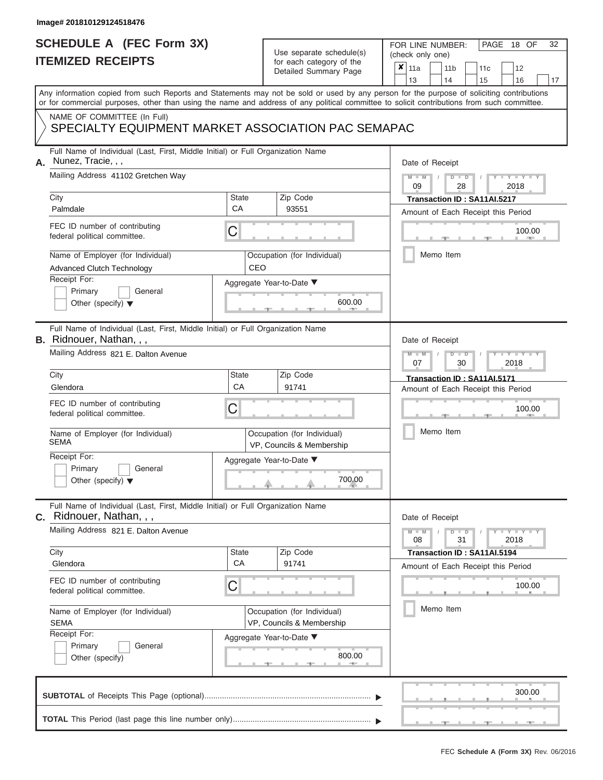# **SCHEDULE A (FEC Form 3X)**

# Use separate schedule(s)

| SCHEDULE A (FEC Form 3X)<br><b>ITEMIZED RECEIPTS</b>                                                                                                                                                                                                                                                                                                                                           |                                | Use separate schedule(s)<br>for each category of the<br>Detailed Summary Page                                                                            | 32<br>FOR LINE NUMBER:<br>PAGE<br>18 OF<br>(check only one)<br>$\boldsymbol{x}$<br>11a<br>11 <sub>b</sub><br>11c<br>12<br>13<br>14<br>15<br>16<br>17                                   |
|------------------------------------------------------------------------------------------------------------------------------------------------------------------------------------------------------------------------------------------------------------------------------------------------------------------------------------------------------------------------------------------------|--------------------------------|----------------------------------------------------------------------------------------------------------------------------------------------------------|----------------------------------------------------------------------------------------------------------------------------------------------------------------------------------------|
| Any information copied from such Reports and Statements may not be sold or used by any person for the purpose of soliciting contributions<br>or for commercial purposes, other than using the name and address of any political committee to solicit contributions from such committee.<br>NAME OF COMMITTEE (In Full)<br>SPECIALTY EQUIPMENT MARKET ASSOCIATION PAC SEMAPAC                   |                                |                                                                                                                                                          |                                                                                                                                                                                        |
| Full Name of Individual (Last, First, Middle Initial) or Full Organization Name<br>Nunez, Tracie, , ,<br>А.<br>Mailing Address 41102 Gretchen Way<br>City<br>Palmdale<br>FEC ID number of contributing<br>federal political committee.<br>Name of Employer (for Individual)<br><b>Advanced Clutch Technology</b><br>Receipt For:<br>Primary<br>General<br>Other (specify) $\blacktriangledown$ | State<br><b>CA</b><br>С<br>CEO | Zip Code<br>93551<br>Occupation (for Individual)<br>Aggregate Year-to-Date ▼<br>600.00                                                                   | Date of Receipt<br>$M - M$<br>$D$ $D$<br>$Y - Y - I$<br>09<br>2018<br>28<br>Transaction ID: SA11AI.5217<br>Amount of Each Receipt this Period<br>100.00<br><b>AND IN</b><br>Memo Item  |
| Full Name of Individual (Last, First, Middle Initial) or Full Organization Name<br><b>B.</b> Ridnouer, Nathan, , ,<br>Mailing Address 821 E. Dalton Avenue<br>City<br>Glendora<br>FEC ID number of contributing<br>federal political committee.<br>Name of Employer (for Individual)<br><b>SEMA</b><br>Receipt For:<br>Primary<br>General<br>Other (specify) $\blacktriangledown$              | State<br>CA<br>С               | Zip Code<br>91741<br>Occupation (for Individual)<br>VP, Councils & Membership<br>Aggregate Year-to-Date ▼<br>$\begin{array}{c}\n 700.00 \\  \end{array}$ | Date of Receipt<br>$M - M$<br>$D$ $\Box$ $D$<br>Y TYT<br>07<br>2018<br>30<br>Transaction ID: SA11AI.5171<br>Amount of Each Receipt this Period<br>100.00<br>Memo Item                  |
| Full Name of Individual (Last, First, Middle Initial) or Full Organization Name<br>Ridnouer, Nathan, , ,<br>С.<br>Mailing Address 821 E. Dalton Avenue<br>City<br>Glendora<br>FEC ID number of contributing<br>federal political committee.<br>Name of Employer (for Individual)<br><b>SEMA</b><br>Receipt For:<br>Primary<br>General<br>Other (specify)                                       | State<br>CA<br>С               | Zip Code<br>91741<br>Occupation (for Individual)<br>VP, Councils & Membership<br>Aggregate Year-to-Date ▼<br>800.00                                      | Date of Receipt<br>$M - M$<br>$D$ $D$<br>$T-T$ $T$ $T$ $T$ $T$ $T$ $T$<br>31<br>08<br>2018<br>Transaction ID: SA11AI.5194<br>Amount of Each Receipt this Period<br>100.00<br>Memo Item |
|                                                                                                                                                                                                                                                                                                                                                                                                |                                |                                                                                                                                                          | 300.00                                                                                                                                                                                 |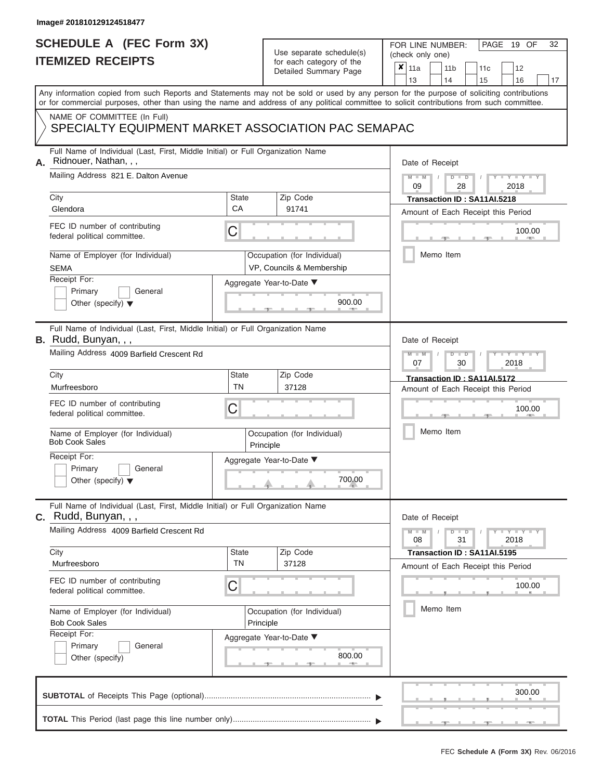# **SCHEDULE A (FEC Form 3X)**

# Use separate schedule(s)

| SCHEDULE A (FEC Form 3X)<br><b>ITEMIZED RECEIPTS</b>                                                                                                                                                          |                                | Use separate schedule(s)<br>for each category of the<br>Detailed Summary Page                                             | 32<br>FOR LINE NUMBER:<br>PAGE 19 OF<br>(check only one)<br>$\overline{\mathbf{x}}$   11a<br>11 <sub>b</sub><br>12<br>11 <sub>c</sub>                                   |
|---------------------------------------------------------------------------------------------------------------------------------------------------------------------------------------------------------------|--------------------------------|---------------------------------------------------------------------------------------------------------------------------|-------------------------------------------------------------------------------------------------------------------------------------------------------------------------|
| or for commercial purposes, other than using the name and address of any political committee to solicit contributions from such committee.<br>NAME OF COMMITTEE (In Full)                                     |                                |                                                                                                                           | 13<br>14<br>15<br>16<br>17<br>Any information copied from such Reports and Statements may not be sold or used by any person for the purpose of soliciting contributions |
| SPECIALTY EQUIPMENT MARKET ASSOCIATION PAC SEMAPAC                                                                                                                                                            |                                |                                                                                                                           |                                                                                                                                                                         |
| Full Name of Individual (Last, First, Middle Initial) or Full Organization Name<br>Ridnouer, Nathan, , ,<br>А.<br>Mailing Address 821 E. Dalton Avenue<br>City<br>Glendora<br>FEC ID number of contributing   | <b>State</b><br><b>CA</b><br>C | Zip Code<br>91741                                                                                                         | Date of Receipt<br>$M - M$ /<br>$D$ $D$<br>$-1 - Y - 1 - Y - 1$<br>09<br>28<br>2018<br>Transaction ID: SA11AI.5218<br>Amount of Each Receipt this Period<br>100.00      |
| federal political committee.<br>Name of Employer (for Individual)<br><b>SEMA</b><br>Receipt For:<br>Primary<br>General<br>Other (specify) $\blacktriangledown$                                                |                                | Occupation (for Individual)<br>VP, Councils & Membership<br>Aggregate Year-to-Date ▼<br>900.00                            | <b>AND IN</b><br>Memo Item                                                                                                                                              |
| Full Name of Individual (Last, First, Middle Initial) or Full Organization Name<br>B. Rudd, Bunyan, , ,<br>Mailing Address 4009 Barfield Crescent Rd<br>City<br>Murfreesboro<br>FEC ID number of contributing | <b>State</b><br><b>TN</b>      | Zip Code<br>37128                                                                                                         | Date of Receipt<br>$M - M$<br>$D$ $\Box$ $D$<br>$T - Y = T - Y = T$<br>2018<br>07<br>30<br>Transaction ID: SA11AI.5172<br>Amount of Each Receipt this Period            |
| federal political committee.<br>Name of Employer (for Individual)<br><b>Bob Cook Sales</b><br>Receipt For:<br>Primary<br>General<br>Other (specify) $\blacktriangledown$                                      | C                              | Occupation (for Individual)<br>Principle<br>Aggregate Year-to-Date ▼<br>$\begin{array}{c}\n700.00 \\ \hline\n\end{array}$ | 100.00<br>Memo Item                                                                                                                                                     |
| Full Name of Individual (Last, First, Middle Initial) or Full Organization Name<br>C. Rudd, Bunyan, , ,<br>Mailing Address 4009 Barfield Crescent Rd                                                          |                                |                                                                                                                           | Date of Receipt<br>$M - M$<br>$D$ $D$<br>$\blacksquare \blacksquare \mathsf{Y} \mathrel{\sqsubseteq} \mathsf{Y} \mathrel{\sqsubseteq} \mathsf{Y}$                       |
| City<br>Murfreesboro<br>FEC ID number of contributing                                                                                                                                                         | State<br><b>TN</b><br>C        | Zip Code<br>37128                                                                                                         | 31<br>08<br>2018<br>Transaction ID: SA11AI.5195<br>Amount of Each Receipt this Period<br>100.00                                                                         |
| federal political committee.<br>Name of Employer (for Individual)<br><b>Bob Cook Sales</b><br>Receipt For:<br>Primary<br>General<br>Other (specify)                                                           |                                | Occupation (for Individual)<br>Principle<br>Aggregate Year-to-Date ▼<br>800.00                                            | Memo Item                                                                                                                                                               |
|                                                                                                                                                                                                               |                                |                                                                                                                           | 300.00                                                                                                                                                                  |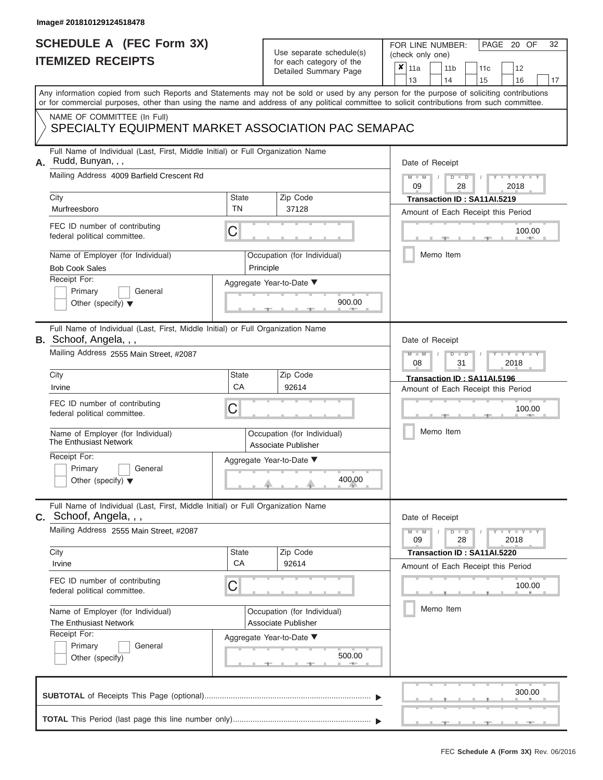# **SCHEDULE A (FEC Form 3X)**

# Use separate schedule(s)

| SCHEDULE A (FEC Form 3X)<br><b>ITEMIZED RECEIPTS</b>                                                                                                        |                           | Use separate schedule(s)<br>for each category of the<br>Detailed Summary Page | 32<br>FOR LINE NUMBER:<br>PAGE 20 OF<br>(check only one)<br>$\boldsymbol{x}$<br>11a<br>11 <sub>b</sub><br>12<br>11 <sub>c</sub><br>13<br>14<br>15<br>16<br>17 |
|-------------------------------------------------------------------------------------------------------------------------------------------------------------|---------------------------|-------------------------------------------------------------------------------|---------------------------------------------------------------------------------------------------------------------------------------------------------------|
| or for commercial purposes, other than using the name and address of any political committee to solicit contributions from such committee.                  |                           |                                                                               | Any information copied from such Reports and Statements may not be sold or used by any person for the purpose of soliciting contributions                     |
| NAME OF COMMITTEE (In Full)<br>SPECIALTY EQUIPMENT MARKET ASSOCIATION PAC SEMAPAC                                                                           |                           |                                                                               |                                                                                                                                                               |
| Full Name of Individual (Last, First, Middle Initial) or Full Organization Name<br>Rudd, Bunyan, , ,<br>А.<br>Mailing Address 4009 Barfield Crescent Rd     |                           |                                                                               | Date of Receipt<br>$M = M$ /<br>$D$ $D$<br>Y TY T<br>09<br>28<br>2018                                                                                         |
| City<br>Murfreesboro                                                                                                                                        | <b>State</b><br><b>TN</b> | Zip Code<br>37128                                                             | Transaction ID : SA11AI.5219<br>Amount of Each Receipt this Period                                                                                            |
| FEC ID number of contributing<br>federal political committee.                                                                                               | C                         |                                                                               | 100.00<br><b>AND I</b>                                                                                                                                        |
| Name of Employer (for Individual)<br><b>Bob Cook Sales</b>                                                                                                  |                           | Occupation (for Individual)<br>Principle                                      | Memo Item                                                                                                                                                     |
| Receipt For:<br>Primary<br>General<br>Other (specify) $\blacktriangledown$                                                                                  |                           | Aggregate Year-to-Date ▼<br>900.00                                            |                                                                                                                                                               |
| Full Name of Individual (Last, First, Middle Initial) or Full Organization Name<br><b>B.</b> Schoof, Angela, , ,<br>Mailing Address 2555 Main Street, #2087 |                           |                                                                               | Date of Receipt<br>$M - M$<br>$D$ $D$<br>$T - Y = T - Y - T$<br>08<br>2018<br>31                                                                              |
| City                                                                                                                                                        | <b>State</b>              | Zip Code                                                                      | Transaction ID: SA11AI.5196                                                                                                                                   |
| Irvine<br>FEC ID number of contributing<br>federal political committee.                                                                                     | CA<br>C                   | 92614                                                                         | Amount of Each Receipt this Period<br>100.00                                                                                                                  |
| Name of Employer (for Individual)<br>The Enthusiast Network                                                                                                 |                           | Occupation (for Individual)<br>Associate Publisher                            | Memo Item                                                                                                                                                     |
| Receipt For:<br>Primary<br>General<br>Other (specify) $\blacktriangledown$                                                                                  |                           | Aggregate Year-to-Date ▼<br>400.00                                            |                                                                                                                                                               |
| Full Name of Individual (Last, First, Middle Initial) or Full Organization Name<br>C. Schoof, Angela, , ,                                                   |                           |                                                                               | Date of Receipt                                                                                                                                               |
| Mailing Address 2555 Main Street, #2087                                                                                                                     |                           |                                                                               | $M - M$<br>$D$ $D$<br>$+Y + Y + Y$<br>09<br>28<br>2018                                                                                                        |
| City<br>Irvine                                                                                                                                              | <b>State</b><br>CA        | Zip Code<br>92614                                                             | Transaction ID: SA11AI.5220<br>Amount of Each Receipt this Period                                                                                             |
| FEC ID number of contributing<br>federal political committee.                                                                                               | C                         |                                                                               | 100.00                                                                                                                                                        |
| Name of Employer (for Individual)<br>The Enthusiast Network                                                                                                 |                           | Occupation (for Individual)<br>Associate Publisher                            | Memo Item                                                                                                                                                     |
| Receipt For:<br>Primary<br>General<br>Other (specify)                                                                                                       |                           | Aggregate Year-to-Date ▼<br>500.00                                            |                                                                                                                                                               |
|                                                                                                                                                             |                           |                                                                               | 300.00                                                                                                                                                        |
|                                                                                                                                                             |                           |                                                                               |                                                                                                                                                               |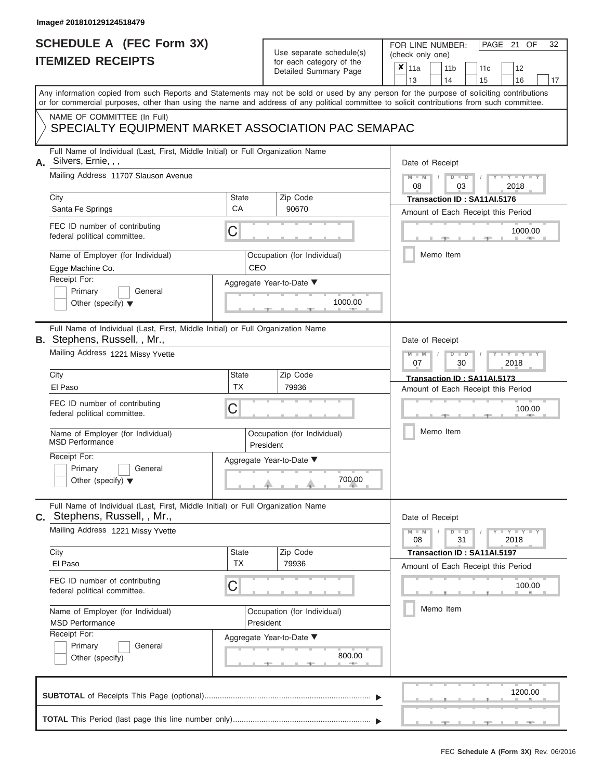# **SCHEDULE A (FEC Form 3X)**

# Use separate schedule(s)

| SCHEDULE A (FEC Form 3X)<br><b>ITEMIZED RECEIPTS</b>                                                                                                                                                                                                                                                                                                                                         |                                | Use separate schedule(s)<br>for each category of the<br>Detailed Summary Page                                                            | 32<br>FOR LINE NUMBER:<br>PAGE 21<br>OF<br>(check only one)<br>$\boldsymbol{x}$<br>11a<br>11 <sub>b</sub><br>12<br>11c<br>13<br>16<br>14<br>15<br>17                  |
|----------------------------------------------------------------------------------------------------------------------------------------------------------------------------------------------------------------------------------------------------------------------------------------------------------------------------------------------------------------------------------------------|--------------------------------|------------------------------------------------------------------------------------------------------------------------------------------|-----------------------------------------------------------------------------------------------------------------------------------------------------------------------|
| Any information copied from such Reports and Statements may not be sold or used by any person for the purpose of soliciting contributions<br>or for commercial purposes, other than using the name and address of any political committee to solicit contributions from such committee.<br>NAME OF COMMITTEE (In Full)<br>SPECIALTY EQUIPMENT MARKET ASSOCIATION PAC SEMAPAC                 |                                |                                                                                                                                          |                                                                                                                                                                       |
| Full Name of Individual (Last, First, Middle Initial) or Full Organization Name<br>A. Silvers, Ernie, , ,<br>Mailing Address 11707 Slauson Avenue<br>City<br>Santa Fe Springs<br>FEC ID number of contributing<br>federal political committee.<br>Name of Employer (for Individual)<br>Egge Machine Co.<br>Receipt For:<br>Primary<br>General<br>Other (specify) $\blacktriangledown$        | <b>State</b><br>CA<br>С<br>CEO | Zip Code<br>90670<br>Occupation (for Individual)<br>Aggregate Year-to-Date ▼<br>1000.00                                                  | Date of Receipt<br>$M - M$ /<br>$D$ $D$<br>Y TY T<br>08<br>03<br>2018<br>Transaction ID: SA11AI.5176<br>Amount of Each Receipt this Period<br>1000.00<br>Memo Item    |
| Full Name of Individual (Last, First, Middle Initial) or Full Organization Name<br><b>B.</b> Stephens, Russell, , Mr.,<br>Mailing Address 1221 Missy Yvette<br>City<br>El Paso<br>FEC ID number of contributing<br>federal political committee.<br>Name of Employer (for Individual)<br><b>MSD Performance</b><br>Receipt For:<br>Primary<br>General<br>Other (specify) $\blacktriangledown$ | <b>State</b><br><b>TX</b><br>С | Zip Code<br>79936<br>Occupation (for Individual)<br>President<br>Aggregate Year-to-Date ▼<br>$\begin{array}{c}\n 700.00 \\  \end{array}$ | Date of Receipt<br>$M - M$<br>$D$ $\Box$ $D$<br>Y TYT<br>07<br>30<br>2018<br>Transaction ID: SA11AI.5173<br>Amount of Each Receipt this Period<br>100.00<br>Memo Item |
| Full Name of Individual (Last, First, Middle Initial) or Full Organization Name<br>C. Stephens, Russell, , Mr.,<br>Mailing Address 1221 Missy Yvette<br>City<br>El Paso<br>FEC ID number of contributing<br>federal political committee.<br>Name of Employer (for Individual)<br><b>MSD Performance</b><br>Receipt For:<br>Primary<br>General<br>Other (specify)                             | <b>State</b><br><b>TX</b><br>С | Zip Code<br>79936<br>Occupation (for Individual)<br>President<br>Aggregate Year-to-Date ▼<br>800.00                                      | Date of Receipt<br>$M - M$<br>$D$ $D$<br>$-Y - Y - Y$<br>08<br>31<br>2018<br>Transaction ID: SA11AI.5197<br>Amount of Each Receipt this Period<br>100.00<br>Memo Item |
|                                                                                                                                                                                                                                                                                                                                                                                              |                                |                                                                                                                                          | 1200.00                                                                                                                                                               |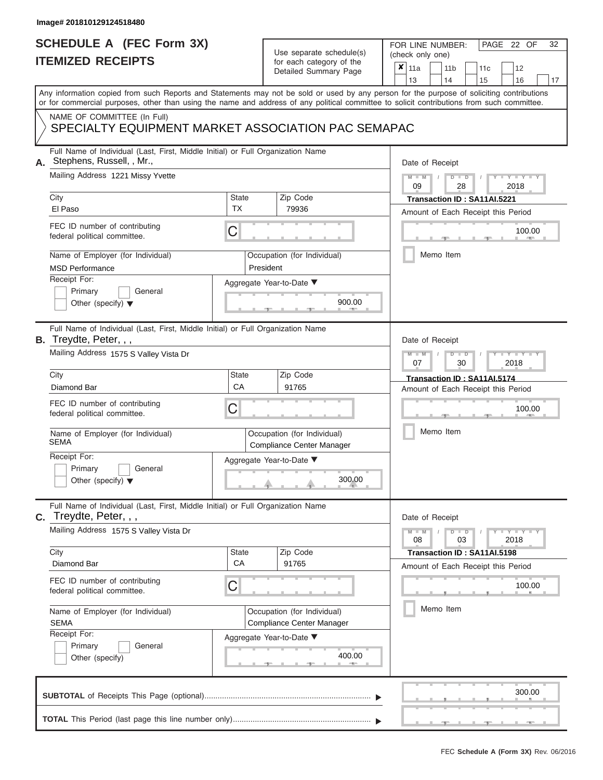### **SCHEDULE A (FEC Form 3X) ITEMIZED RECEIPTS**

# Use separate schedule(s)

| SCHEDULE A (FEC Form 3X)<br><b>ITEMIZED RECEIPTS</b>                                                                                                                                                                                                                                    |                           | Use separate schedule(s)                                 | 32<br>FOR LINE NUMBER:<br>PAGE 22 OF<br>(check only one)                                           |  |  |  |  |
|-----------------------------------------------------------------------------------------------------------------------------------------------------------------------------------------------------------------------------------------------------------------------------------------|---------------------------|----------------------------------------------------------|----------------------------------------------------------------------------------------------------|--|--|--|--|
|                                                                                                                                                                                                                                                                                         |                           | for each category of the<br>Detailed Summary Page        | ×<br>11a<br>11 <sub>b</sub><br>12<br>11c<br>13<br>14<br>15<br>16<br>17                             |  |  |  |  |
| Any information copied from such Reports and Statements may not be sold or used by any person for the purpose of soliciting contributions<br>or for commercial purposes, other than using the name and address of any political committee to solicit contributions from such committee. |                           |                                                          |                                                                                                    |  |  |  |  |
| NAME OF COMMITTEE (In Full)<br>SPECIALTY EQUIPMENT MARKET ASSOCIATION PAC SEMAPAC                                                                                                                                                                                                       |                           |                                                          |                                                                                                    |  |  |  |  |
| Full Name of Individual (Last, First, Middle Initial) or Full Organization Name<br>Stephens, Russell, , Mr.,                                                                                                                                                                            |                           |                                                          | Date of Receipt                                                                                    |  |  |  |  |
| Mailing Address 1221 Missy Yvette<br>City                                                                                                                                                                                                                                               | <b>State</b>              | Zip Code                                                 | $M - M$<br>$D$ $D$<br>$Y - Y - I$<br>09<br>28<br>2018<br>Transaction ID: SA11AI.5221               |  |  |  |  |
| El Paso                                                                                                                                                                                                                                                                                 | <b>TX</b>                 | 79936                                                    | Amount of Each Receipt this Period                                                                 |  |  |  |  |
| FEC ID number of contributing<br>federal political committee.                                                                                                                                                                                                                           | С                         |                                                          | 100.00<br><b>AND IN</b>                                                                            |  |  |  |  |
| Name of Employer (for Individual)<br><b>MSD Performance</b>                                                                                                                                                                                                                             |                           | Occupation (for Individual)<br>President                 | Memo Item                                                                                          |  |  |  |  |
| Receipt For:                                                                                                                                                                                                                                                                            |                           | Aggregate Year-to-Date ▼                                 |                                                                                                    |  |  |  |  |
| Primary<br>General<br>Other (specify) $\blacktriangledown$                                                                                                                                                                                                                              |                           | 900.00                                                   |                                                                                                    |  |  |  |  |
| Full Name of Individual (Last, First, Middle Initial) or Full Organization Name<br><b>B.</b> Treydte, Peter, , ,                                                                                                                                                                        |                           |                                                          | Date of Receipt                                                                                    |  |  |  |  |
| Mailing Address 1575 S Valley Vista Dr                                                                                                                                                                                                                                                  |                           |                                                          | $M - M$<br>$D$ $\Box$ $D$<br>$\Box$ $\Upsilon$ $\Box$ $\Upsilon$ $\Box$ $\Box$<br>2018<br>07<br>30 |  |  |  |  |
| City<br>Diamond Bar                                                                                                                                                                                                                                                                     | <b>State</b><br>CA        | Zip Code<br>91765                                        | Transaction ID: SA11AI.5174                                                                        |  |  |  |  |
| FEC ID number of contributing                                                                                                                                                                                                                                                           |                           |                                                          | Amount of Each Receipt this Period                                                                 |  |  |  |  |
| federal political committee.                                                                                                                                                                                                                                                            | С                         |                                                          | 100.00                                                                                             |  |  |  |  |
| Name of Employer (for Individual)<br><b>SEMA</b>                                                                                                                                                                                                                                        |                           | Occupation (for Individual)<br>Compliance Center Manager | Memo Item                                                                                          |  |  |  |  |
| Receipt For:                                                                                                                                                                                                                                                                            |                           | Aggregate Year-to-Date ▼                                 |                                                                                                    |  |  |  |  |
| Primary<br>General<br>Other (specify) $\blacktriangledown$                                                                                                                                                                                                                              |                           | 300.00                                                   |                                                                                                    |  |  |  |  |
| Full Name of Individual (Last, First, Middle Initial) or Full Organization Name<br>Treydte, Peter, , ,<br>$\mathbf{C}$ .                                                                                                                                                                |                           |                                                          | Date of Receipt                                                                                    |  |  |  |  |
| Mailing Address 1575 S Valley Vista Dr                                                                                                                                                                                                                                                  |                           |                                                          | $T - Y = T - Y$<br>$M - M$<br>$D$ $D$<br>08<br>03<br>2018                                          |  |  |  |  |
| City<br>Diamond Bar                                                                                                                                                                                                                                                                     | <b>State</b><br><b>CA</b> | Zip Code<br>91765                                        | Transaction ID: SA11AI.5198<br>Amount of Each Receipt this Period                                  |  |  |  |  |
| FEC ID number of contributing<br>federal political committee.                                                                                                                                                                                                                           | С                         |                                                          | 100.00                                                                                             |  |  |  |  |
| Name of Employer (for Individual)<br><b>SEMA</b>                                                                                                                                                                                                                                        |                           | Occupation (for Individual)<br>Compliance Center Manager | Memo Item                                                                                          |  |  |  |  |
| Receipt For:<br>Primary<br>General<br>Other (specify)                                                                                                                                                                                                                                   |                           | Aggregate Year-to-Date ▼<br>400.00                       |                                                                                                    |  |  |  |  |
|                                                                                                                                                                                                                                                                                         |                           |                                                          | 300.00                                                                                             |  |  |  |  |
|                                                                                                                                                                                                                                                                                         |                           |                                                          |                                                                                                    |  |  |  |  |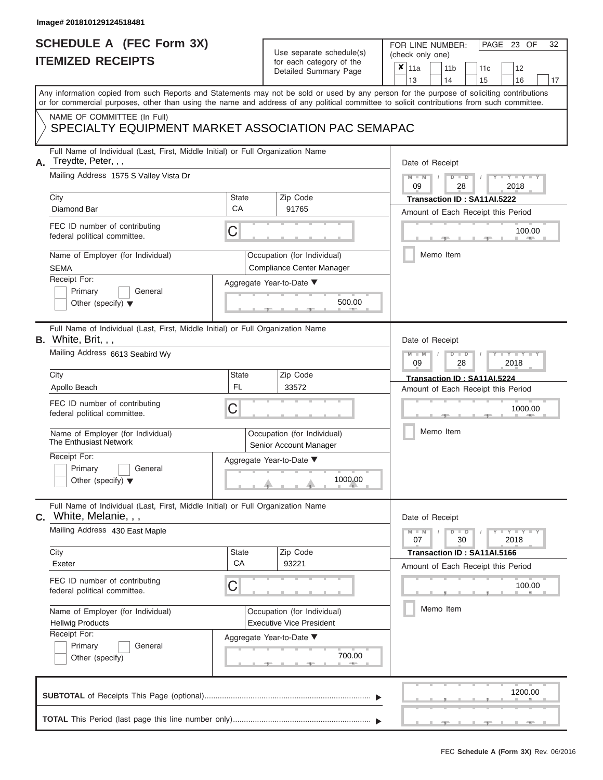# **SCHEDULE A (FEC Form 3X)**

# Use separate schedule(s)

| SCHEDULE A (FEC Form 3X)<br><b>ITEMIZED RECEIPTS</b>                                                                                                   |                           | Use separate schedule(s)<br>for each category of the           | 32<br>FOR LINE NUMBER:<br>PAGE 23 OF<br>(check only one)                                                                                                                                                                                                                                |  |  |  |  |
|--------------------------------------------------------------------------------------------------------------------------------------------------------|---------------------------|----------------------------------------------------------------|-----------------------------------------------------------------------------------------------------------------------------------------------------------------------------------------------------------------------------------------------------------------------------------------|--|--|--|--|
|                                                                                                                                                        |                           | Detailed Summary Page                                          | ×<br>11a<br>11 <sub>b</sub><br>12<br>11 <sub>c</sub><br>13<br>14<br>15<br>16<br>17                                                                                                                                                                                                      |  |  |  |  |
|                                                                                                                                                        |                           |                                                                | Any information copied from such Reports and Statements may not be sold or used by any person for the purpose of soliciting contributions<br>or for commercial purposes, other than using the name and address of any political committee to solicit contributions from such committee. |  |  |  |  |
| NAME OF COMMITTEE (In Full)<br>SPECIALTY EQUIPMENT MARKET ASSOCIATION PAC SEMAPAC                                                                      |                           |                                                                |                                                                                                                                                                                                                                                                                         |  |  |  |  |
| Full Name of Individual (Last, First, Middle Initial) or Full Organization Name<br>Treydte, Peter, , ,<br>А.<br>Mailing Address 1575 S Valley Vista Dr |                           |                                                                | Date of Receipt<br>$M - M$<br>$D$ $D$<br>$Y - Y - I$                                                                                                                                                                                                                                    |  |  |  |  |
| City<br>Diamond Bar                                                                                                                                    | <b>State</b><br>CA        | Zip Code<br>91765                                              | 09<br>2018<br>28<br>Transaction ID: SA11AI.5222<br>Amount of Each Receipt this Period                                                                                                                                                                                                   |  |  |  |  |
| FEC ID number of contributing<br>federal political committee.                                                                                          | C                         |                                                                | 100.00<br><b>AND IN</b>                                                                                                                                                                                                                                                                 |  |  |  |  |
| Name of Employer (for Individual)<br><b>SEMA</b>                                                                                                       |                           | Occupation (for Individual)<br>Compliance Center Manager       | Memo Item                                                                                                                                                                                                                                                                               |  |  |  |  |
| Receipt For:<br>Primary<br>General<br>Other (specify) $\blacktriangledown$                                                                             |                           | Aggregate Year-to-Date ▼<br>500.00                             |                                                                                                                                                                                                                                                                                         |  |  |  |  |
| Full Name of Individual (Last, First, Middle Initial) or Full Organization Name<br>B. White, Brit, , ,<br>Mailing Address 6613 Seabird Wy              |                           |                                                                | Date of Receipt<br>$M - M$<br>$D$ $D$<br>Y TYT<br>09<br>2018<br>28                                                                                                                                                                                                                      |  |  |  |  |
| City                                                                                                                                                   | State<br><b>FL</b>        | Zip Code<br>33572                                              | Transaction ID: SA11AI.5224                                                                                                                                                                                                                                                             |  |  |  |  |
| Apollo Beach<br>FEC ID number of contributing<br>federal political committee.                                                                          | С                         |                                                                | Amount of Each Receipt this Period<br>1000.00                                                                                                                                                                                                                                           |  |  |  |  |
| Name of Employer (for Individual)<br>The Enthusiast Network                                                                                            |                           | Occupation (for Individual)<br>Senior Account Manager          | Memo Item                                                                                                                                                                                                                                                                               |  |  |  |  |
| Receipt For:<br>Primary<br>General<br>Other (specify) $\blacktriangledown$                                                                             |                           | Aggregate Year-to-Date ▼<br>1000.00                            |                                                                                                                                                                                                                                                                                         |  |  |  |  |
| Full Name of Individual (Last, First, Middle Initial) or Full Organization Name<br>White, Melanie, , ,<br>C.                                           |                           |                                                                | Date of Receipt                                                                                                                                                                                                                                                                         |  |  |  |  |
| Mailing Address 430 East Maple                                                                                                                         |                           |                                                                | $D$ $\Box$ $D$<br>$T-T$ $T$ $T$ $T$ $T$ $T$<br>$M - M$<br>07<br>30<br>2018                                                                                                                                                                                                              |  |  |  |  |
| City<br>Exeter                                                                                                                                         | <b>State</b><br><b>CA</b> | Zip Code<br>93221                                              | Transaction ID: SA11AI.5166<br>Amount of Each Receipt this Period                                                                                                                                                                                                                       |  |  |  |  |
| FEC ID number of contributing<br>federal political committee.                                                                                          | С                         |                                                                | 100.00                                                                                                                                                                                                                                                                                  |  |  |  |  |
| Name of Employer (for Individual)<br><b>Hellwig Products</b><br>Receipt For:                                                                           |                           | Occupation (for Individual)<br><b>Executive Vice President</b> | Memo Item                                                                                                                                                                                                                                                                               |  |  |  |  |
| Primary<br>General<br>Other (specify)                                                                                                                  |                           | Aggregate Year-to-Date ▼<br>700.00                             |                                                                                                                                                                                                                                                                                         |  |  |  |  |
|                                                                                                                                                        |                           |                                                                | 1200.00                                                                                                                                                                                                                                                                                 |  |  |  |  |
|                                                                                                                                                        |                           |                                                                |                                                                                                                                                                                                                                                                                         |  |  |  |  |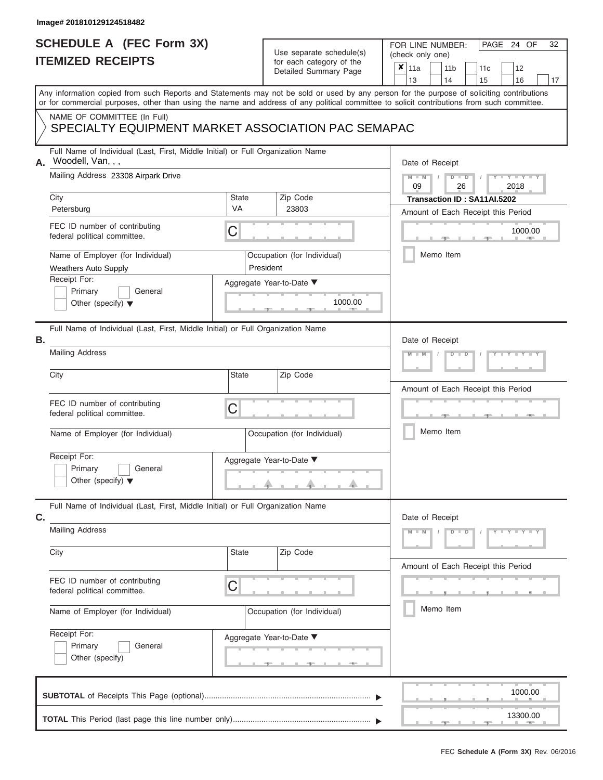### **SCHEDULE A (FEC Form 3X) ITEMIZED RECEIPTS**

| SCHEDULE A (FEC Form 3X)<br><b>ITEMIZED RECEIPTS</b>                                                                                       |                          | Use separate schedule(s)<br>for each category of the | 32<br>FOR LINE NUMBER:<br>PAGE 24 OF<br>(check only one)                                                                                  |  |  |  |  |
|--------------------------------------------------------------------------------------------------------------------------------------------|--------------------------|------------------------------------------------------|-------------------------------------------------------------------------------------------------------------------------------------------|--|--|--|--|
|                                                                                                                                            |                          | Detailed Summary Page                                | $\pmb{\times}$<br>  11a<br>11 <sub>b</sub><br>12<br>11c<br>13<br>14<br>15<br>16<br>17                                                     |  |  |  |  |
| or for commercial purposes, other than using the name and address of any political committee to solicit contributions from such committee. |                          |                                                      | Any information copied from such Reports and Statements may not be sold or used by any person for the purpose of soliciting contributions |  |  |  |  |
| NAME OF COMMITTEE (In Full)<br>SPECIALTY EQUIPMENT MARKET ASSOCIATION PAC SEMAPAC                                                          |                          |                                                      |                                                                                                                                           |  |  |  |  |
| Full Name of Individual (Last, First, Middle Initial) or Full Organization Name<br>Woodell, Van, , ,<br>A.                                 |                          |                                                      | Date of Receipt                                                                                                                           |  |  |  |  |
| Mailing Address 23308 Airpark Drive<br>City                                                                                                | <b>State</b>             | Zip Code                                             | $D$ $D$<br>Y I Y I<br>$M - M$<br>09<br>26<br>2018<br>Transaction ID: SA11AI.5202                                                          |  |  |  |  |
| Petersburg                                                                                                                                 | <b>VA</b>                | 23803                                                | Amount of Each Receipt this Period                                                                                                        |  |  |  |  |
| FEC ID number of contributing<br>federal political committee.                                                                              | C                        |                                                      | 1000.00<br><b>AND IN</b>                                                                                                                  |  |  |  |  |
| Name of Employer (for Individual)<br><b>Weathers Auto Supply</b>                                                                           | President                | Occupation (for Individual)                          | Memo Item                                                                                                                                 |  |  |  |  |
| Receipt For:<br>Primary<br>General<br>Other (specify) $\blacktriangledown$                                                                 |                          | Aggregate Year-to-Date ▼<br>1000.00<br><b>AND IN</b> |                                                                                                                                           |  |  |  |  |
| Full Name of Individual (Last, First, Middle Initial) or Full Organization Name<br><b>B.</b>                                               |                          |                                                      | Date of Receipt                                                                                                                           |  |  |  |  |
| <b>Mailing Address</b>                                                                                                                     |                          |                                                      | $D$ $D$<br>$M$ $M$                                                                                                                        |  |  |  |  |
| City                                                                                                                                       | State                    | Zip Code                                             | Amount of Each Receipt this Period                                                                                                        |  |  |  |  |
| FEC ID number of contributing<br>federal political committee.                                                                              | C                        |                                                      |                                                                                                                                           |  |  |  |  |
| Name of Employer (for Individual)                                                                                                          |                          | Occupation (for Individual)                          | Memo Item                                                                                                                                 |  |  |  |  |
| Receipt For:<br>Primary<br>General<br>Other (specify) $\blacktriangledown$                                                                 |                          | Aggregate Year-to-Date ▼<br>a.                       |                                                                                                                                           |  |  |  |  |
| Full Name of Individual (Last, First, Middle Initial) or Full Organization Name<br>C.                                                      |                          |                                                      | Date of Receipt                                                                                                                           |  |  |  |  |
| <b>Mailing Address</b>                                                                                                                     |                          |                                                      | $Y = Y = Y + Y$<br>$M - M$<br>$D$ $D$                                                                                                     |  |  |  |  |
| City                                                                                                                                       | <b>State</b>             | Zip Code                                             | Amount of Each Receipt this Period                                                                                                        |  |  |  |  |
| FEC ID number of contributing<br>federal political committee.                                                                              | C                        |                                                      |                                                                                                                                           |  |  |  |  |
| Name of Employer (for Individual)                                                                                                          |                          | Occupation (for Individual)                          | Memo Item                                                                                                                                 |  |  |  |  |
| Receipt For:<br>Primary<br>General<br>Other (specify)                                                                                      | Aggregate Year-to-Date ▼ |                                                      |                                                                                                                                           |  |  |  |  |
|                                                                                                                                            |                          |                                                      | 1000.00                                                                                                                                   |  |  |  |  |
|                                                                                                                                            |                          |                                                      | 13300.00                                                                                                                                  |  |  |  |  |

 ▲ ▲ ▲ , , .

a.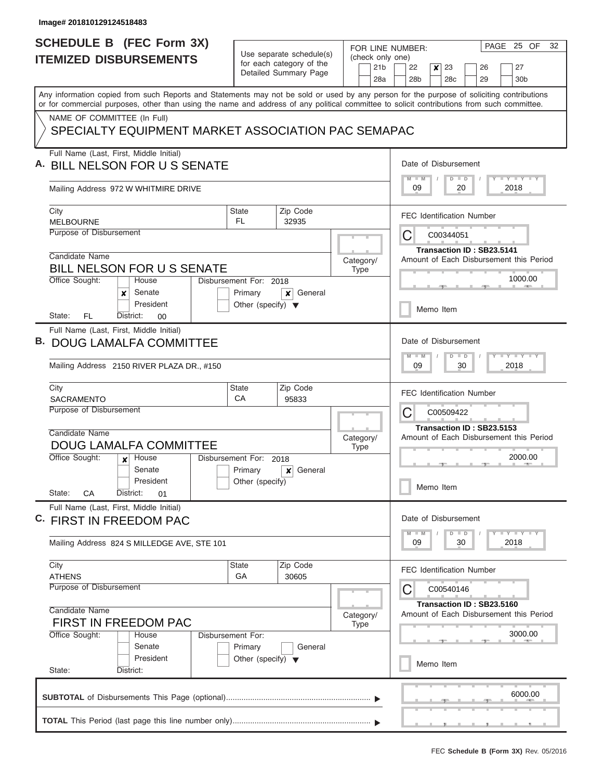|                               | <b>SCHEDULE B</b> (FEC Form 3X)                                                                                                            |                                                      |                       |             |           |                        | FOR LINE NUMBER:                                                     |                                                             |           |                                                                      |  | PAGE 25 OF                  | 32 |
|-------------------------------|--------------------------------------------------------------------------------------------------------------------------------------------|------------------------------------------------------|-----------------------|-------------|-----------|------------------------|----------------------------------------------------------------------|-------------------------------------------------------------|-----------|----------------------------------------------------------------------|--|-----------------------------|----|
| <b>ITEMIZED DISBURSEMENTS</b> |                                                                                                                                            | Use separate schedule(s)<br>for each category of the |                       |             |           |                        | (check only one)                                                     |                                                             |           |                                                                      |  |                             |    |
|                               |                                                                                                                                            |                                                      | Detailed Summary Page |             |           | 21 <sub>b</sub><br>28a | 22<br>28 <sub>b</sub>                                                | $\boldsymbol{x}$                                            | 23<br>28c | 26<br>29                                                             |  | 27<br>30 <sub>b</sub>       |    |
|                               | Any information copied from such Reports and Statements may not be sold or used by any person for the purpose of soliciting contributions  |                                                      |                       |             |           |                        |                                                                      |                                                             |           |                                                                      |  |                             |    |
|                               | or for commercial purposes, other than using the name and address of any political committee to solicit contributions from such committee. |                                                      |                       |             |           |                        |                                                                      |                                                             |           |                                                                      |  |                             |    |
|                               | NAME OF COMMITTEE (In Full)                                                                                                                |                                                      |                       |             |           |                        |                                                                      |                                                             |           |                                                                      |  |                             |    |
|                               | SPECIALTY EQUIPMENT MARKET ASSOCIATION PAC SEMAPAC                                                                                         |                                                      |                       |             |           |                        |                                                                      |                                                             |           |                                                                      |  |                             |    |
|                               | Full Name (Last, First, Middle Initial)                                                                                                    |                                                      |                       |             |           |                        |                                                                      |                                                             |           |                                                                      |  |                             |    |
|                               | <b>BILL NELSON FOR U S SENATE</b>                                                                                                          |                                                      |                       |             |           |                        |                                                                      | Date of Disbursement<br>Y I Y I Y I Y<br>$M - M$<br>$D$ $D$ |           |                                                                      |  |                             |    |
|                               | Mailing Address 972 W WHITMIRE DRIVE                                                                                                       |                                                      |                       |             |           |                        | 09                                                                   |                                                             |           | 20                                                                   |  | 2018                        |    |
|                               | City<br><b>MELBOURNE</b>                                                                                                                   | <b>State</b><br>FL.                                  | Zip Code<br>32935     |             |           |                        |                                                                      |                                                             |           | <b>FEC Identification Number</b>                                     |  |                             |    |
|                               | Purpose of Disbursement                                                                                                                    |                                                      |                       |             |           |                        | C                                                                    |                                                             | C00344051 |                                                                      |  |                             |    |
|                               |                                                                                                                                            |                                                      |                       |             |           |                        |                                                                      |                                                             |           | Transaction ID: SB23.5141                                            |  |                             |    |
|                               | Candidate Name                                                                                                                             |                                                      |                       |             | Category/ |                        |                                                                      |                                                             |           | Amount of Each Disbursement this Period                              |  |                             |    |
|                               | <b>BILL NELSON FOR U S SENATE</b><br>Office Sought:<br>House                                                                               | Disbursement For: 2018                               |                       |             | Type      |                        |                                                                      |                                                             |           |                                                                      |  | 1000.00                     |    |
|                               | Senate<br>x                                                                                                                                | Primary                                              | General<br>×          |             |           |                        |                                                                      |                                                             |           |                                                                      |  |                             |    |
|                               | President                                                                                                                                  | Other (specify) $\blacktriangledown$                 |                       |             |           |                        |                                                                      |                                                             | Memo Item |                                                                      |  |                             |    |
|                               | FL<br>District:<br>State:<br>00                                                                                                            |                                                      |                       |             |           |                        |                                                                      |                                                             |           |                                                                      |  |                             |    |
|                               | Full Name (Last, First, Middle Initial)                                                                                                    |                                                      |                       |             |           |                        |                                                                      |                                                             |           |                                                                      |  |                             |    |
| В.                            | <b>DOUG LAMALFA COMMITTEE</b>                                                                                                              |                                                      |                       |             |           |                        | Date of Disbursement                                                 |                                                             |           |                                                                      |  |                             |    |
|                               | Mailing Address 2150 RIVER PLAZA DR., #150                                                                                                 |                                                      |                       |             |           |                        | $M - M$<br>09                                                        |                                                             | $D$ $D$   | 30                                                                   |  | Y FY FY FY<br>2018          |    |
|                               |                                                                                                                                            |                                                      |                       |             |           |                        |                                                                      |                                                             |           |                                                                      |  |                             |    |
|                               | City                                                                                                                                       | <b>State</b>                                         | Zip Code              |             |           |                        |                                                                      |                                                             |           | <b>FEC Identification Number</b>                                     |  |                             |    |
|                               | SACRAMENTO<br>Purpose of Disbursement                                                                                                      | CA                                                   | 95833                 |             |           |                        |                                                                      |                                                             |           |                                                                      |  |                             |    |
|                               |                                                                                                                                            |                                                      | Category/             |             |           |                        | C                                                                    |                                                             | C00509422 |                                                                      |  |                             |    |
|                               | Candidate Name                                                                                                                             |                                                      |                       |             |           |                        | Transaction ID: SB23.5153<br>Amount of Each Disbursement this Period |                                                             |           |                                                                      |  |                             |    |
|                               | <b>DOUG LAMALFA COMMITTEE</b>                                                                                                              |                                                      |                       | <b>Type</b> |           |                        |                                                                      |                                                             |           |                                                                      |  |                             |    |
|                               | Office Sought:<br>House<br>x<br>Senate                                                                                                     | Disbursement For:                                    | 2018<br>General       |             |           |                        |                                                                      |                                                             |           |                                                                      |  | 2000.00                     |    |
|                               | President                                                                                                                                  | Primary<br>Other (specify)                           | x                     |             |           |                        |                                                                      |                                                             |           |                                                                      |  |                             |    |
|                               | State:<br>CA<br>District:<br>01                                                                                                            |                                                      |                       |             |           |                        |                                                                      |                                                             | Memo Item |                                                                      |  |                             |    |
|                               | Full Name (Last, First, Middle Initial)                                                                                                    |                                                      |                       |             |           |                        |                                                                      |                                                             |           |                                                                      |  |                             |    |
|                               | C. FIRST IN FREEDOM PAC                                                                                                                    |                                                      |                       |             |           |                        | Date of Disbursement                                                 |                                                             |           |                                                                      |  |                             |    |
|                               | Mailing Address 824 S MILLEDGE AVE, STE 101                                                                                                |                                                      |                       |             |           |                        | 09                                                                   |                                                             | $D$ $D$   | 30                                                                   |  | $Y$ $Y$ $Y$ $Y$ $Y$<br>2018 |    |
|                               | City                                                                                                                                       | State                                                | Zip Code              |             |           |                        |                                                                      |                                                             |           | <b>FEC Identification Number</b>                                     |  |                             |    |
|                               | <b>ATHENS</b><br>Purpose of Disbursement                                                                                                   | GA                                                   | 30605                 |             |           |                        |                                                                      |                                                             | C00540146 |                                                                      |  |                             |    |
|                               |                                                                                                                                            |                                                      |                       |             |           |                        | C                                                                    |                                                             |           |                                                                      |  |                             |    |
|                               | Candidate Name                                                                                                                             |                                                      |                       |             | Category/ |                        |                                                                      |                                                             |           | Transaction ID: SB23.5160<br>Amount of Each Disbursement this Period |  |                             |    |
|                               | <b>FIRST IN FREEDOM PAC</b>                                                                                                                |                                                      |                       |             | Type      |                        |                                                                      |                                                             |           |                                                                      |  |                             |    |
|                               | Office Sought:<br>House                                                                                                                    | Disbursement For:                                    |                       |             |           |                        |                                                                      |                                                             |           |                                                                      |  | 3000.00                     |    |
|                               | Senate<br>President                                                                                                                        | Primary<br>Other (specify) $\blacktriangledown$      | General               |             |           |                        |                                                                      |                                                             |           |                                                                      |  |                             |    |
|                               | State:<br>District:                                                                                                                        |                                                      |                       |             |           |                        |                                                                      |                                                             | Memo Item |                                                                      |  |                             |    |
|                               |                                                                                                                                            |                                                      |                       |             |           |                        |                                                                      |                                                             |           |                                                                      |  |                             |    |
|                               |                                                                                                                                            |                                                      |                       |             |           |                        |                                                                      |                                                             |           |                                                                      |  | 6000.00                     |    |
|                               |                                                                                                                                            |                                                      |                       |             |           |                        |                                                                      |                                                             |           |                                                                      |  |                             |    |
|                               |                                                                                                                                            |                                                      |                       |             |           |                        |                                                                      |                                                             |           |                                                                      |  |                             |    |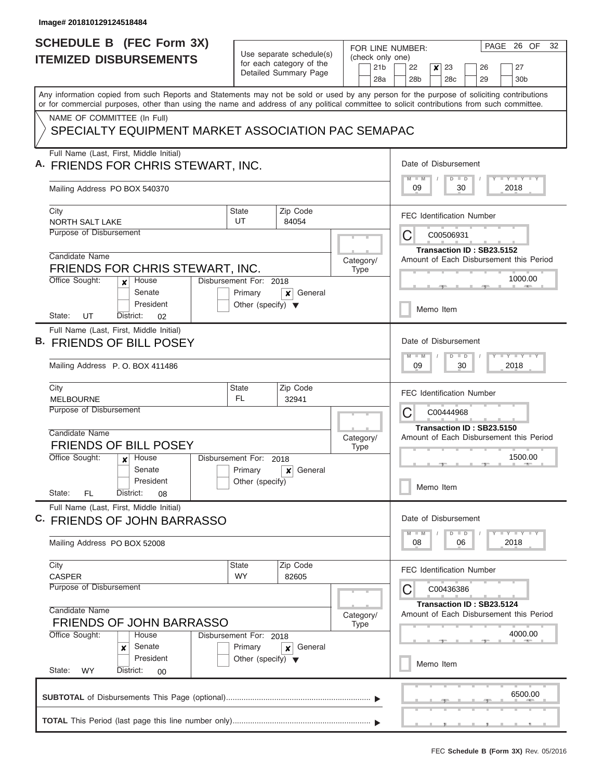| <b>SCHEDULE B (FEC Form 3X)</b>                                                                                                                                                                                                                                                         |                                                                           | Use separate schedule(s)                          | FOR LINE NUMBER:                           | PAGE 26 OF<br>32                                                                            |
|-----------------------------------------------------------------------------------------------------------------------------------------------------------------------------------------------------------------------------------------------------------------------------------------|---------------------------------------------------------------------------|---------------------------------------------------|--------------------------------------------|---------------------------------------------------------------------------------------------|
| <b>ITEMIZED DISBURSEMENTS</b>                                                                                                                                                                                                                                                           |                                                                           | for each category of the<br>Detailed Summary Page | (check only one)<br>21 <sub>b</sub><br>28a | 23<br>22<br>$\boldsymbol{x}$<br>27<br>26<br>28 <sub>b</sub><br>28c<br>29<br>30 <sub>b</sub> |
| Any information copied from such Reports and Statements may not be sold or used by any person for the purpose of soliciting contributions<br>or for commercial purposes, other than using the name and address of any political committee to solicit contributions from such committee. |                                                                           |                                                   |                                            |                                                                                             |
| NAME OF COMMITTEE (In Full)<br>SPECIALTY EQUIPMENT MARKET ASSOCIATION PAC SEMAPAC                                                                                                                                                                                                       |                                                                           |                                                   |                                            |                                                                                             |
| Full Name (Last, First, Middle Initial)<br>A. FRIENDS FOR CHRIS STEWART, INC.                                                                                                                                                                                                           |                                                                           |                                                   |                                            | Date of Disbursement<br><b>TEY LY LY</b><br>$M - M$<br>$D$ $D$                              |
| Mailing Address PO BOX 540370                                                                                                                                                                                                                                                           |                                                                           |                                                   |                                            | 09<br>30<br>2018                                                                            |
| City<br>NORTH SALT LAKE                                                                                                                                                                                                                                                                 | State<br>UT                                                               | Zip Code<br>84054                                 |                                            | <b>FEC Identification Number</b>                                                            |
| Purpose of Disbursement                                                                                                                                                                                                                                                                 |                                                                           |                                                   |                                            | C<br>C00506931<br>Transaction ID: SB23.5152                                                 |
| Candidate Name<br>FRIENDS FOR CHRIS STEWART, INC.                                                                                                                                                                                                                                       |                                                                           |                                                   | Category/<br><b>Type</b>                   | Amount of Each Disbursement this Period                                                     |
| Office Sought:<br>House<br>$\boldsymbol{x}$<br>Senate<br>President                                                                                                                                                                                                                      | Disbursement For: 2018<br>Primary<br>Other (specify) $\blacktriangledown$ | General<br>×                                      |                                            | 1000.00                                                                                     |
| UT<br>State:<br>District:<br>02<br>Full Name (Last, First, Middle Initial)                                                                                                                                                                                                              |                                                                           |                                                   |                                            | Memo Item                                                                                   |
| <b>FRIENDS OF BILL POSEY</b><br>Mailing Address P.O. BOX 411486                                                                                                                                                                                                                         |                                                                           |                                                   |                                            | Date of Disbursement<br>$M - M$<br>$D$ $D$<br>09<br>30<br>2018                              |
| City                                                                                                                                                                                                                                                                                    | <b>State</b>                                                              | Zip Code                                          |                                            |                                                                                             |
| <b>MELBOURNE</b><br>Purpose of Disbursement                                                                                                                                                                                                                                             | <b>FL</b>                                                                 | 32941                                             |                                            | <b>FEC Identification Number</b><br>С<br>C00444968                                          |
| Candidate Name<br><b>FRIENDS OF BILL POSEY</b>                                                                                                                                                                                                                                          |                                                                           |                                                   | Category/<br><b>Type</b>                   | Transaction ID: SB23.5150<br>Amount of Each Disbursement this Period                        |
| Office Sought:<br>House<br>$\mathbf{x}$<br>Senate                                                                                                                                                                                                                                       | Disbursement For:<br>Primary                                              | 2018<br>General<br>×                              |                                            | 1500.00                                                                                     |
| President<br>State:<br>FL<br>District:<br>08                                                                                                                                                                                                                                            | Other (specify)                                                           |                                                   |                                            | Memo Item                                                                                   |
| Full Name (Last, First, Middle Initial)<br>C. FRIENDS OF JOHN BARRASSO                                                                                                                                                                                                                  |                                                                           |                                                   |                                            | Date of Disbursement                                                                        |
| Mailing Address PO BOX 52008                                                                                                                                                                                                                                                            |                                                                           |                                                   |                                            | $Y$ $Y$ $Y$ $Y$ $Y$<br>$M - M$<br>$D$ $D$<br>08<br>06<br>2018                               |
| City<br><b>CASPER</b>                                                                                                                                                                                                                                                                   | <b>State</b><br><b>WY</b>                                                 | Zip Code<br>82605                                 |                                            | <b>FEC Identification Number</b>                                                            |
| Purpose of Disbursement<br>Candidate Name<br><b>FRIENDS OF JOHN BARRASSO</b>                                                                                                                                                                                                            |                                                                           |                                                   | Category/<br><b>Type</b>                   | C<br>C00436386<br>Transaction ID: SB23.5124<br>Amount of Each Disbursement this Period      |
| Office Sought:<br>House<br>Senate<br>×<br>President                                                                                                                                                                                                                                     | Disbursement For: 2018<br>Primary<br>Other (specify) $\blacktriangledown$ | General<br>x                                      |                                            | 4000.00<br>Memo Item                                                                        |
| State:<br><b>WY</b><br>District:<br>00                                                                                                                                                                                                                                                  |                                                                           |                                                   |                                            |                                                                                             |
|                                                                                                                                                                                                                                                                                         |                                                                           |                                                   |                                            | 6500.00                                                                                     |
|                                                                                                                                                                                                                                                                                         |                                                                           |                                                   |                                            |                                                                                             |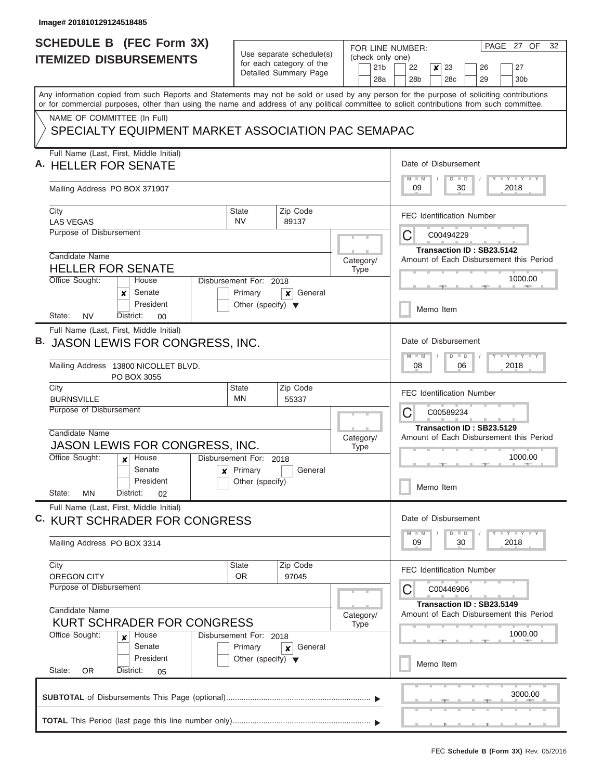I

| <b>SCHEDULE B</b> (FEC Form 3X)                                                                                                            |                                                      | FOR LINE NUMBER:       | PAGE 27 OF<br>32                                                                         |  |  |  |
|--------------------------------------------------------------------------------------------------------------------------------------------|------------------------------------------------------|------------------------|------------------------------------------------------------------------------------------|--|--|--|
| <b>ITEMIZED DISBURSEMENTS</b>                                                                                                              | Use separate schedule(s)<br>for each category of the | (check only one)       |                                                                                          |  |  |  |
|                                                                                                                                            | Detailed Summary Page                                | 21 <sub>b</sub><br>28a | 22<br>23<br>27<br>x<br>26<br>28 <sub>b</sub><br>28 <sub>c</sub><br>29<br>30 <sub>b</sub> |  |  |  |
| Any information copied from such Reports and Statements may not be sold or used by any person for the purpose of soliciting contributions  |                                                      |                        |                                                                                          |  |  |  |
| or for commercial purposes, other than using the name and address of any political committee to solicit contributions from such committee. |                                                      |                        |                                                                                          |  |  |  |
| NAME OF COMMITTEE (In Full)                                                                                                                |                                                      |                        |                                                                                          |  |  |  |
| SPECIALTY EQUIPMENT MARKET ASSOCIATION PAC SEMAPAC                                                                                         |                                                      |                        |                                                                                          |  |  |  |
| Full Name (Last, First, Middle Initial)                                                                                                    |                                                      |                        | Date of Disbursement                                                                     |  |  |  |
|                                                                                                                                            | A. HELLER FOR SENATE                                 |                        |                                                                                          |  |  |  |
| Mailing Address PO BOX 371907                                                                                                              |                                                      |                        | <b>TEY LY LY</b><br>$M$ $M$<br>$D$ $D$<br>09<br>30<br>2018                               |  |  |  |
| City                                                                                                                                       | Zip Code<br><b>State</b>                             |                        | <b>FEC Identification Number</b>                                                         |  |  |  |
| <b>LAS VEGAS</b>                                                                                                                           | <b>NV</b><br>89137                                   |                        |                                                                                          |  |  |  |
| Purpose of Disbursement                                                                                                                    |                                                      |                        | С<br>C00494229                                                                           |  |  |  |
| Candidate Name                                                                                                                             |                                                      |                        | Transaction ID: SB23.5142                                                                |  |  |  |
| <b>HELLER FOR SENATE</b>                                                                                                                   |                                                      | Category/<br>Type      | Amount of Each Disbursement this Period                                                  |  |  |  |
| Office Sought:<br>House                                                                                                                    | Disbursement For: 2018                               |                        | 1000.00                                                                                  |  |  |  |
| Senate<br>x                                                                                                                                | Primary<br>General<br>×                              |                        |                                                                                          |  |  |  |
| President<br><b>NV</b><br>State:<br>District:<br>00                                                                                        | Other (specify) $\blacktriangledown$                 |                        | Memo Item                                                                                |  |  |  |
| Full Name (Last, First, Middle Initial)                                                                                                    |                                                      |                        |                                                                                          |  |  |  |
| В.<br>JASON LEWIS FOR CONGRESS, INC.                                                                                                       |                                                      |                        | Date of Disbursement                                                                     |  |  |  |
|                                                                                                                                            |                                                      |                        | $T - Y$ $T - Y$ $T - Y$<br>$M - M$<br>$D$ $D$                                            |  |  |  |
| Mailing Address 13800 NICOLLET BLVD.<br>PO BOX 3055                                                                                        |                                                      |                        | 08<br>06<br>2018                                                                         |  |  |  |
| City<br><b>BURNSVILLE</b>                                                                                                                  | Zip Code<br><b>State</b><br>MN<br>55337              |                        | <b>FEC Identification Number</b>                                                         |  |  |  |
| Purpose of Disbursement                                                                                                                    |                                                      |                        | С<br>C00589234                                                                           |  |  |  |
|                                                                                                                                            |                                                      |                        | Transaction ID: SB23.5129                                                                |  |  |  |
| Candidate Name                                                                                                                             |                                                      | Category/              | Amount of Each Disbursement this Period                                                  |  |  |  |
| <b>JASON LEWIS FOR CONGRESS, INC.</b>                                                                                                      |                                                      | <b>Type</b>            |                                                                                          |  |  |  |
| Office Sought:<br>House<br>$\boldsymbol{x}$<br>Senate                                                                                      | Disbursement For: 2018<br>Primary<br>General         |                        | 1000.00                                                                                  |  |  |  |
| ×<br>President                                                                                                                             | Other (specify)                                      |                        |                                                                                          |  |  |  |
| State:<br>District:<br>ΜN<br>02                                                                                                            |                                                      |                        | Memo Item                                                                                |  |  |  |
| Full Name (Last, First, Middle Initial)                                                                                                    |                                                      |                        |                                                                                          |  |  |  |
| C. KURT SCHRADER FOR CONGRESS                                                                                                              |                                                      |                        | Date of Disbursement                                                                     |  |  |  |
| Mailing Address PO BOX 3314                                                                                                                |                                                      |                        | $T - Y$ $T - Y$<br>$M - M$<br>$D$ $D$<br>09<br>30<br>2018                                |  |  |  |
| City                                                                                                                                       | State<br>Zip Code                                    |                        | <b>FEC Identification Number</b>                                                         |  |  |  |
| <b>OREGON CITY</b><br>Purpose of Disbursement                                                                                              | <b>OR</b><br>97045                                   |                        |                                                                                          |  |  |  |
|                                                                                                                                            |                                                      |                        | С<br>C00446906                                                                           |  |  |  |
| Candidate Name                                                                                                                             |                                                      | Category/              | Transaction ID: SB23.5149<br>Amount of Each Disbursement this Period                     |  |  |  |
| <b>KURT SCHRADER FOR CONGRESS</b>                                                                                                          |                                                      | Type                   |                                                                                          |  |  |  |
| Office Sought:<br>House<br>$\boldsymbol{x}$                                                                                                | Disbursement For: 2018                               |                        | 1000.00                                                                                  |  |  |  |
| Senate<br>President                                                                                                                        | Primary<br>General<br>×                              |                        |                                                                                          |  |  |  |
| State:<br>District:<br><b>OR</b><br>05                                                                                                     | Other (specify) $\blacktriangledown$                 |                        | Memo Item                                                                                |  |  |  |
|                                                                                                                                            |                                                      |                        |                                                                                          |  |  |  |
|                                                                                                                                            |                                                      |                        | 3000.00                                                                                  |  |  |  |
|                                                                                                                                            |                                                      |                        |                                                                                          |  |  |  |
|                                                                                                                                            |                                                      |                        |                                                                                          |  |  |  |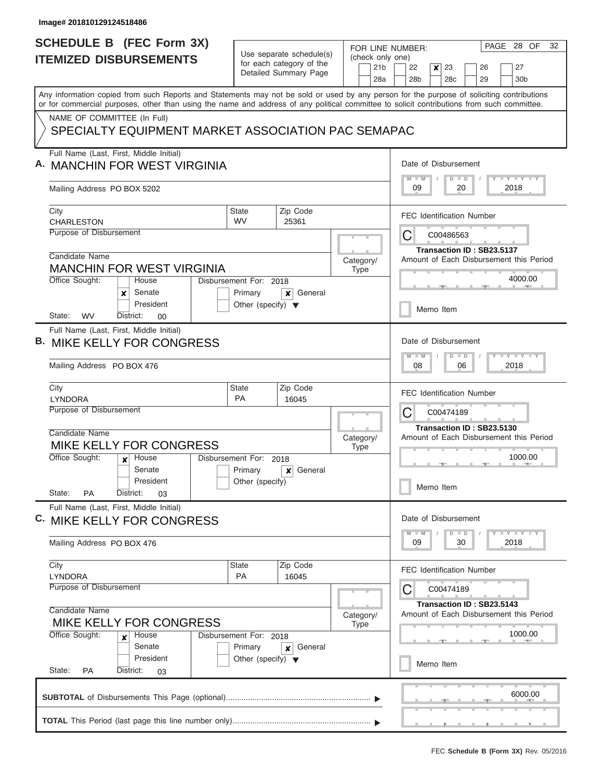| Use separate schedule(s)<br>(check only one)<br><b>ITEMIZED DISBURSEMENTS</b><br>for each category of the<br>21 <sub>b</sub><br>22<br>Detailed Summary Page<br>28 <sub>b</sub><br>28a<br>Any information copied from such Reports and Statements may not be sold or used by any person for the purpose of soliciting contributions<br>or for commercial purposes, other than using the name and address of any political committee to solicit contributions from such committee.<br>NAME OF COMMITTEE (In Full)<br>SPECIALTY EQUIPMENT MARKET ASSOCIATION PAC SEMAPAC<br>Full Name (Last, First, Middle Initial)<br><b>MANCHIN FOR WEST VIRGINIA</b><br>$M - M$<br>09<br>Mailing Address PO BOX 5202<br>Zip Code<br>City<br>State<br><b>WV</b><br><b>CHARLESTON</b><br>25361<br>Purpose of Disbursement<br>C | 23<br>$\boldsymbol{x}$<br>27<br>26<br>28c<br>29<br>30 <sub>b</sub><br>Date of Disbursement<br><b>TEY LY LY</b><br>$D$ $D$<br>20<br>2018<br><b>FEC Identification Number</b><br>C00486563<br>Transaction ID: SB23.5137 |  |  |  |  |  |  |  |  |
|--------------------------------------------------------------------------------------------------------------------------------------------------------------------------------------------------------------------------------------------------------------------------------------------------------------------------------------------------------------------------------------------------------------------------------------------------------------------------------------------------------------------------------------------------------------------------------------------------------------------------------------------------------------------------------------------------------------------------------------------------------------------------------------------------------------|-----------------------------------------------------------------------------------------------------------------------------------------------------------------------------------------------------------------------|--|--|--|--|--|--|--|--|
|                                                                                                                                                                                                                                                                                                                                                                                                                                                                                                                                                                                                                                                                                                                                                                                                              |                                                                                                                                                                                                                       |  |  |  |  |  |  |  |  |
|                                                                                                                                                                                                                                                                                                                                                                                                                                                                                                                                                                                                                                                                                                                                                                                                              |                                                                                                                                                                                                                       |  |  |  |  |  |  |  |  |
|                                                                                                                                                                                                                                                                                                                                                                                                                                                                                                                                                                                                                                                                                                                                                                                                              |                                                                                                                                                                                                                       |  |  |  |  |  |  |  |  |
|                                                                                                                                                                                                                                                                                                                                                                                                                                                                                                                                                                                                                                                                                                                                                                                                              |                                                                                                                                                                                                                       |  |  |  |  |  |  |  |  |
|                                                                                                                                                                                                                                                                                                                                                                                                                                                                                                                                                                                                                                                                                                                                                                                                              |                                                                                                                                                                                                                       |  |  |  |  |  |  |  |  |
|                                                                                                                                                                                                                                                                                                                                                                                                                                                                                                                                                                                                                                                                                                                                                                                                              |                                                                                                                                                                                                                       |  |  |  |  |  |  |  |  |
| Candidate Name<br>Category/<br><b>MANCHIN FOR WEST VIRGINIA</b><br><b>Type</b><br>Office Sought:<br>House<br>Disbursement For: 2018                                                                                                                                                                                                                                                                                                                                                                                                                                                                                                                                                                                                                                                                          | Amount of Each Disbursement this Period<br>4000.00                                                                                                                                                                    |  |  |  |  |  |  |  |  |
| Senate<br>Primary<br>General<br>x<br>×<br>President<br>Other (specify) $\blacktriangledown$                                                                                                                                                                                                                                                                                                                                                                                                                                                                                                                                                                                                                                                                                                                  | Memo Item                                                                                                                                                                                                             |  |  |  |  |  |  |  |  |
| <b>WV</b><br>State:<br>District:<br>00<br>Full Name (Last, First, Middle Initial)<br><b>MIKE KELLY FOR CONGRESS</b>                                                                                                                                                                                                                                                                                                                                                                                                                                                                                                                                                                                                                                                                                          | Date of Disbursement                                                                                                                                                                                                  |  |  |  |  |  |  |  |  |
| $M - M$<br>Mailing Address PO BOX 476<br>08                                                                                                                                                                                                                                                                                                                                                                                                                                                                                                                                                                                                                                                                                                                                                                  | $D$ $D$<br>06<br>2018                                                                                                                                                                                                 |  |  |  |  |  |  |  |  |
| Zip Code<br>City<br><b>State</b><br><b>PA</b><br><b>LYNDORA</b><br>16045<br>Purpose of Disbursement<br>С                                                                                                                                                                                                                                                                                                                                                                                                                                                                                                                                                                                                                                                                                                     | <b>FEC Identification Number</b><br>C00474189                                                                                                                                                                         |  |  |  |  |  |  |  |  |
| Candidate Name<br>Category/<br>MIKE KELLY FOR CONGRESS<br><b>Type</b><br>Office Sought:<br>Disbursement For:<br>House<br>2018<br>$\mathbf{x}$                                                                                                                                                                                                                                                                                                                                                                                                                                                                                                                                                                                                                                                                | Transaction ID: SB23.5130<br>Amount of Each Disbursement this Period<br>1000.00                                                                                                                                       |  |  |  |  |  |  |  |  |
| Senate<br>Primary<br>General<br>×<br>President<br>Other (specify)<br>State:<br><b>PA</b><br>District:<br>03                                                                                                                                                                                                                                                                                                                                                                                                                                                                                                                                                                                                                                                                                                  | Memo Item                                                                                                                                                                                                             |  |  |  |  |  |  |  |  |
| Full Name (Last, First, Middle Initial)<br>C. MIKE KELLY FOR CONGRESS                                                                                                                                                                                                                                                                                                                                                                                                                                                                                                                                                                                                                                                                                                                                        | Date of Disbursement                                                                                                                                                                                                  |  |  |  |  |  |  |  |  |
| $M - M$<br>09<br>Mailing Address PO BOX 476                                                                                                                                                                                                                                                                                                                                                                                                                                                                                                                                                                                                                                                                                                                                                                  | $Y$ $Y$ $Y$ $Y$ $Y$<br>$D$ $D$<br>30<br>2018                                                                                                                                                                          |  |  |  |  |  |  |  |  |
| Zip Code<br>City<br><b>State</b><br><b>PA</b><br>16045<br><b>LYNDORA</b><br>Purpose of Disbursement<br>C                                                                                                                                                                                                                                                                                                                                                                                                                                                                                                                                                                                                                                                                                                     | <b>FEC Identification Number</b><br>C00474189                                                                                                                                                                         |  |  |  |  |  |  |  |  |
| Candidate Name<br>Category/<br>MIKE KELLY FOR CONGRESS<br><b>Type</b>                                                                                                                                                                                                                                                                                                                                                                                                                                                                                                                                                                                                                                                                                                                                        | Transaction ID: SB23.5143<br>Amount of Each Disbursement this Period                                                                                                                                                  |  |  |  |  |  |  |  |  |
| Office Sought:<br>Disbursement For: 2018<br>House<br>x<br>Senate<br>Primary<br>General<br>x<br>President<br>Other (specify) $\blacktriangledown$                                                                                                                                                                                                                                                                                                                                                                                                                                                                                                                                                                                                                                                             | 1000.00                                                                                                                                                                                                               |  |  |  |  |  |  |  |  |
|                                                                                                                                                                                                                                                                                                                                                                                                                                                                                                                                                                                                                                                                                                                                                                                                              | Memo Item<br>State:<br><b>PA</b><br>District:<br>03<br>6000.00                                                                                                                                                        |  |  |  |  |  |  |  |  |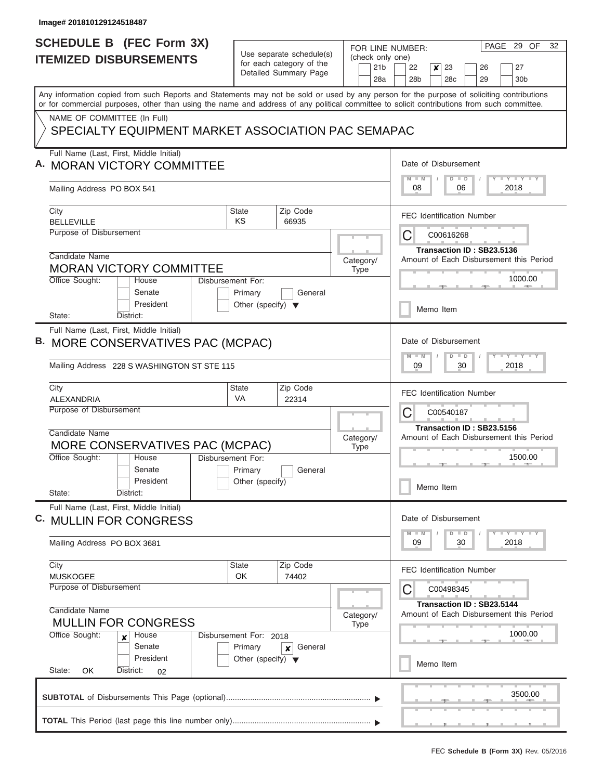| <b>ITEMIZED DISBURSEMENTS</b><br>Any information copied from such Reports and Statements may not be sold or used by any person for the purpose of soliciting contributions<br>or for commercial purposes, other than using the name and address of any political committee to solicit contributions from such committee. |                                                                           | Use separate schedule(s)<br>for each category of the<br>Detailed Summary Page          | (check only one)<br>21 <sub>b</sub><br>28a | 22<br>23<br>27<br>×<br>26<br>28 <sub>b</sub><br>28 <sub>c</sub><br>29<br>30 <sub>b</sub> |
|--------------------------------------------------------------------------------------------------------------------------------------------------------------------------------------------------------------------------------------------------------------------------------------------------------------------------|---------------------------------------------------------------------------|----------------------------------------------------------------------------------------|--------------------------------------------|------------------------------------------------------------------------------------------|
|                                                                                                                                                                                                                                                                                                                          |                                                                           |                                                                                        |                                            |                                                                                          |
|                                                                                                                                                                                                                                                                                                                          |                                                                           |                                                                                        |                                            |                                                                                          |
| NAME OF COMMITTEE (In Full)<br>SPECIALTY EQUIPMENT MARKET ASSOCIATION PAC SEMAPAC                                                                                                                                                                                                                                        |                                                                           |                                                                                        |                                            |                                                                                          |
| Full Name (Last, First, Middle Initial)<br><b>MORAN VICTORY COMMITTEE</b>                                                                                                                                                                                                                                                |                                                                           |                                                                                        |                                            | Date of Disbursement<br>Y LY LY LY<br>$M$ $M$<br>$D$ $D$                                 |
| Mailing Address PO BOX 541                                                                                                                                                                                                                                                                                               |                                                                           |                                                                                        |                                            | 08<br>06<br>2018                                                                         |
| City<br><b>BELLEVILLE</b>                                                                                                                                                                                                                                                                                                | <b>State</b><br>ΚS                                                        | Zip Code<br>66935                                                                      |                                            | <b>FEC Identification Number</b>                                                         |
| Purpose of Disbursement                                                                                                                                                                                                                                                                                                  |                                                                           |                                                                                        |                                            | C<br>C00616268<br>Transaction ID: SB23.5136                                              |
| Candidate Name<br><b>MORAN VICTORY COMMITTEE</b>                                                                                                                                                                                                                                                                         |                                                                           |                                                                                        | Category/<br><b>Type</b>                   | Amount of Each Disbursement this Period                                                  |
| Office Sought:<br>House<br>Senate<br>President                                                                                                                                                                                                                                                                           | Disbursement For:<br>Primary<br>Other (specify) $\blacktriangledown$      | General                                                                                |                                            | 1000.00                                                                                  |
| State:<br>District:                                                                                                                                                                                                                                                                                                      |                                                                           |                                                                                        |                                            | Memo Item                                                                                |
| Full Name (Last, First, Middle Initial)<br>MORE CONSERVATIVES PAC (MCPAC)<br>Mailing Address 228 S WASHINGTON ST STE 115                                                                                                                                                                                                 |                                                                           |                                                                                        |                                            | Date of Disbursement<br>Y FY FY FY<br>$M - M$<br>$D$ $D$<br>09<br>30<br>2018             |
| City                                                                                                                                                                                                                                                                                                                     | <b>State</b>                                                              | Zip Code                                                                               |                                            |                                                                                          |
| ALEXANDRIA<br>Purpose of Disbursement                                                                                                                                                                                                                                                                                    | VA                                                                        | 22314                                                                                  |                                            | <b>FEC Identification Number</b><br>C<br>C00540187                                       |
| Candidate Name<br>MORE CONSERVATIVES PAC (MCPAC)<br>Office Sought:<br>House                                                                                                                                                                                                                                              | Disbursement For:                                                         |                                                                                        | Category/<br>Type                          | Transaction ID: SB23.5156<br>Amount of Each Disbursement this Period<br>1500.00          |
| Senate<br>President<br>State:<br>District:                                                                                                                                                                                                                                                                               | Primary<br>Other (specify)                                                | General                                                                                |                                            | Memo Item                                                                                |
| Full Name (Last, First, Middle Initial)<br>C. MULLIN FOR CONGRESS                                                                                                                                                                                                                                                        |                                                                           |                                                                                        |                                            | Date of Disbursement                                                                     |
| Mailing Address PO BOX 3681                                                                                                                                                                                                                                                                                              |                                                                           | Y LY LY LY<br>$D$ $D$<br>$M - M$<br>09<br>2018<br>30                                   |                                            |                                                                                          |
| City<br><b>MUSKOGEE</b>                                                                                                                                                                                                                                                                                                  | State<br>OK                                                               | Zip Code<br>74402                                                                      |                                            | <b>FEC Identification Number</b>                                                         |
| Purpose of Disbursement<br>Candidate Name<br><b>MULLIN FOR CONGRESS</b>                                                                                                                                                                                                                                                  | Category/<br><b>Type</b>                                                  | C<br>C00498345<br>Transaction ID: SB23.5144<br>Amount of Each Disbursement this Period |                                            |                                                                                          |
| Office Sought:<br>House<br>Senate<br>President<br>State:<br>OK<br>District:<br>02                                                                                                                                                                                                                                        | Disbursement For: 2018<br>Primary<br>Other (specify) $\blacktriangledown$ | General<br>×                                                                           |                                            | 1000.00<br>Memo Item                                                                     |
|                                                                                                                                                                                                                                                                                                                          |                                                                           |                                                                                        |                                            | 3500.00                                                                                  |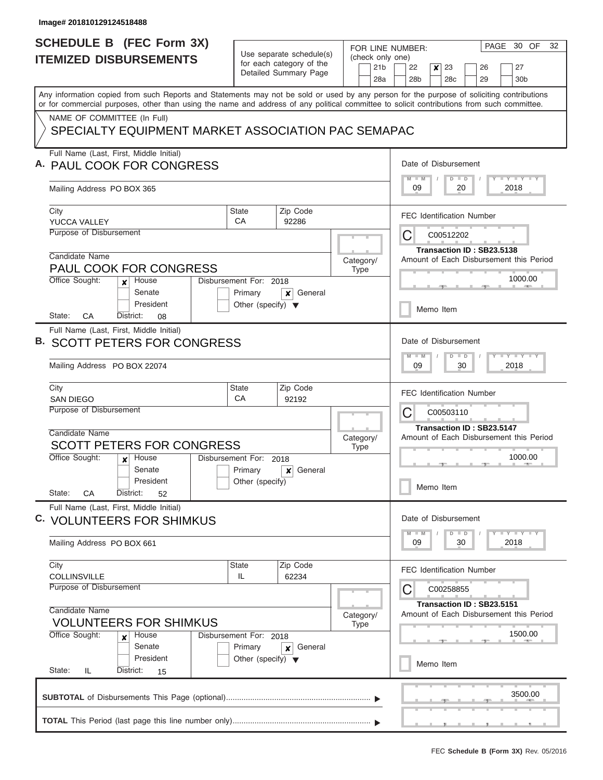|                               | <b>SCHEDULE B (FEC Form 3X)</b>                                                                                                                                                                                                                                                         |                                                      |                             | FOR LINE NUMBER:                    | PAGE 30 OF<br>32                                                     |
|-------------------------------|-----------------------------------------------------------------------------------------------------------------------------------------------------------------------------------------------------------------------------------------------------------------------------------------|------------------------------------------------------|-----------------------------|-------------------------------------|----------------------------------------------------------------------|
| <b>ITEMIZED DISBURSEMENTS</b> |                                                                                                                                                                                                                                                                                         | Use separate schedule(s)<br>for each category of the |                             | (check only one)<br>21 <sub>b</sub> | 22<br>x<br>23<br>27<br>26                                            |
|                               |                                                                                                                                                                                                                                                                                         |                                                      | Detailed Summary Page       | 28a                                 | 29<br>28b<br>28 <sub>c</sub><br>30 <sub>b</sub>                      |
|                               | Any information copied from such Reports and Statements may not be sold or used by any person for the purpose of soliciting contributions<br>or for commercial purposes, other than using the name and address of any political committee to solicit contributions from such committee. |                                                      |                             |                                     |                                                                      |
|                               | NAME OF COMMITTEE (In Full)                                                                                                                                                                                                                                                             |                                                      |                             |                                     |                                                                      |
|                               | SPECIALTY EQUIPMENT MARKET ASSOCIATION PAC SEMAPAC                                                                                                                                                                                                                                      |                                                      |                             |                                     |                                                                      |
|                               | Full Name (Last, First, Middle Initial)<br>A. PAUL COOK FOR CONGRESS                                                                                                                                                                                                                    |                                                      |                             |                                     | Date of Disbursement                                                 |
|                               | Mailing Address PO BOX 365                                                                                                                                                                                                                                                              |                                                      |                             |                                     | Y LY LY LY<br>$M$ $M$<br>$D$ $D$<br>09<br>20<br>2018                 |
|                               | City<br>YUCCA VALLEY                                                                                                                                                                                                                                                                    | <b>State</b><br>CA                                   | Zip Code<br>92286           |                                     | <b>FEC Identification Number</b>                                     |
|                               | <b>Purpose of Disbursement</b>                                                                                                                                                                                                                                                          |                                                      |                             |                                     | C<br>C00512202                                                       |
|                               | Candidate Name                                                                                                                                                                                                                                                                          |                                                      |                             | Category/                           | Transaction ID: SB23.5138<br>Amount of Each Disbursement this Period |
|                               | PAUL COOK FOR CONGRESS<br>Office Sought:<br>House                                                                                                                                                                                                                                       | Disbursement For: 2018                               |                             | Type                                | 1000.00                                                              |
|                               | x<br>Senate<br>President                                                                                                                                                                                                                                                                | Primary<br>Other (specify) $\blacktriangledown$      | General<br>×                |                                     |                                                                      |
|                               | СA<br>State:<br>District:<br>08                                                                                                                                                                                                                                                         |                                                      |                             |                                     | Memo Item                                                            |
|                               | Full Name (Last, First, Middle Initial)                                                                                                                                                                                                                                                 |                                                      |                             |                                     |                                                                      |
| в.                            | <b>SCOTT PETERS FOR CONGRESS</b>                                                                                                                                                                                                                                                        |                                                      |                             |                                     | Date of Disbursement                                                 |
|                               | Mailing Address PO BOX 22074                                                                                                                                                                                                                                                            |                                                      |                             |                                     | Y FY FY FY<br>$M - M$<br>$D$ $D$<br>09<br>30<br>2018                 |
|                               | City                                                                                                                                                                                                                                                                                    | <b>State</b>                                         | Zip Code                    |                                     | <b>FEC Identification Number</b>                                     |
|                               | <b>SAN DIEGO</b><br>Purpose of Disbursement                                                                                                                                                                                                                                             | CA                                                   | 92192                       |                                     | C<br>C00503110                                                       |
|                               |                                                                                                                                                                                                                                                                                         |                                                      |                             |                                     | Transaction ID: SB23.5147                                            |
|                               | Candidate Name<br><b>SCOTT PETERS FOR CONGRESS</b>                                                                                                                                                                                                                                      |                                                      |                             | Category/                           | Amount of Each Disbursement this Period                              |
|                               | Office Sought:<br>House<br>$\boldsymbol{x}$                                                                                                                                                                                                                                             | Disbursement For:                                    | 2018                        | <b>Type</b>                         | 1000.00                                                              |
|                               | Senate                                                                                                                                                                                                                                                                                  | Primary                                              | General<br>$\boldsymbol{x}$ |                                     |                                                                      |
|                               | President<br>State:<br>CA<br>District:<br>52                                                                                                                                                                                                                                            | Other (specify)                                      |                             |                                     | Memo Item                                                            |
|                               | Full Name (Last, First, Middle Initial)<br>C. VOLUNTEERS FOR SHIMKUS                                                                                                                                                                                                                    |                                                      |                             |                                     | Date of Disbursement                                                 |
|                               | Mailing Address PO BOX 661                                                                                                                                                                                                                                                              |                                                      |                             |                                     | $Y - Y - Y - Y - I$<br>$M - M$<br>$D$ $D$<br>2018<br>09<br>30        |
|                               | City<br><b>COLLINSVILLE</b>                                                                                                                                                                                                                                                             | <b>State</b><br>IL                                   | Zip Code<br>62234           |                                     | <b>FEC Identification Number</b>                                     |
|                               | Purpose of Disbursement                                                                                                                                                                                                                                                                 |                                                      |                             |                                     | C<br>C00258855                                                       |
|                               | Candidate Name                                                                                                                                                                                                                                                                          |                                                      |                             | Category/                           | Transaction ID: SB23.5151<br>Amount of Each Disbursement this Period |
|                               | <b>VOLUNTEERS FOR SHIMKUS</b><br>Office Sought:<br>House<br>x                                                                                                                                                                                                                           | Disbursement For: 2018                               |                             | Type                                | 1500.00                                                              |
|                               | Senate<br>President                                                                                                                                                                                                                                                                     | Primary<br>Other (specify) $\blacktriangledown$      | General<br>×                |                                     | Memo Item                                                            |
|                               |                                                                                                                                                                                                                                                                                         |                                                      |                             |                                     |                                                                      |
|                               | State:<br>IL.<br>District:<br>15                                                                                                                                                                                                                                                        |                                                      |                             |                                     |                                                                      |
|                               |                                                                                                                                                                                                                                                                                         |                                                      |                             |                                     | 3500.00                                                              |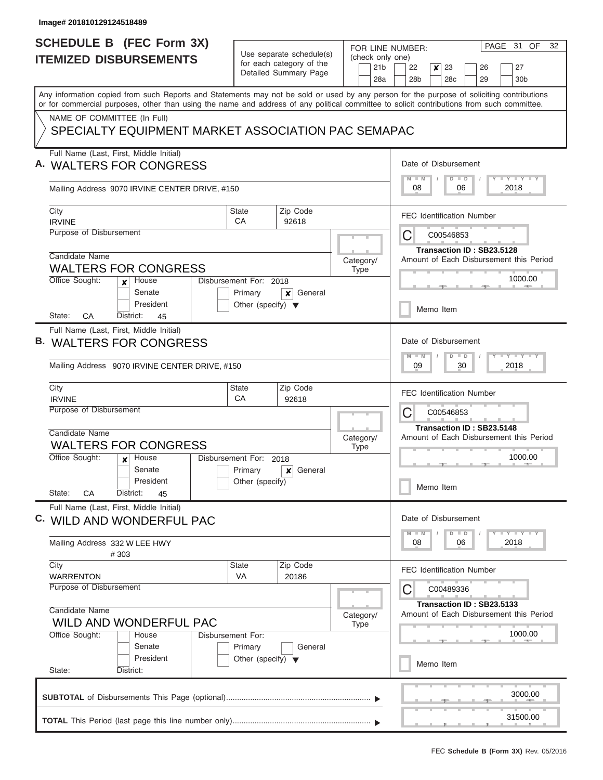$\overline{\phantom{a}}$ 

|                               | <b>SCHEDULE B</b> (FEC Form 3X)                                                                                                                                                                                                                                                         |                                                                               |                      | FOR LINE NUMBER: | PAGE 31 OF<br>32                                                     |
|-------------------------------|-----------------------------------------------------------------------------------------------------------------------------------------------------------------------------------------------------------------------------------------------------------------------------------------|-------------------------------------------------------------------------------|----------------------|------------------|----------------------------------------------------------------------|
| <b>ITEMIZED DISBURSEMENTS</b> |                                                                                                                                                                                                                                                                                         | Use separate schedule(s)<br>for each category of the<br>Detailed Summary Page |                      | (check only one) |                                                                      |
|                               |                                                                                                                                                                                                                                                                                         |                                                                               |                      | 21 <sub>b</sub>  | 22<br>$\boldsymbol{x}$<br>23<br>27<br>26                             |
|                               |                                                                                                                                                                                                                                                                                         |                                                                               |                      | 28a              | 28 <sub>b</sub><br>29<br>28 <sub>c</sub><br>30 <sub>b</sub>          |
|                               | Any information copied from such Reports and Statements may not be sold or used by any person for the purpose of soliciting contributions<br>or for commercial purposes, other than using the name and address of any political committee to solicit contributions from such committee. |                                                                               |                      |                  |                                                                      |
|                               | NAME OF COMMITTEE (In Full)                                                                                                                                                                                                                                                             |                                                                               |                      |                  |                                                                      |
|                               | SPECIALTY EQUIPMENT MARKET ASSOCIATION PAC SEMAPAC                                                                                                                                                                                                                                      |                                                                               |                      |                  |                                                                      |
|                               | Full Name (Last, First, Middle Initial)                                                                                                                                                                                                                                                 |                                                                               |                      |                  |                                                                      |
|                               | <b>WALTERS FOR CONGRESS</b>                                                                                                                                                                                                                                                             |                                                                               |                      |                  | Date of Disbursement<br>$M$ $M$                                      |
|                               | Mailing Address 9070 IRVINE CENTER DRIVE, #150                                                                                                                                                                                                                                          |                                                                               |                      |                  | $T - Y = T - Y$<br>$D$ $D$<br>08<br>06<br>2018                       |
|                               | City<br><b>IRVINE</b>                                                                                                                                                                                                                                                                   | <b>State</b><br>CA                                                            | Zip Code<br>92618    |                  | <b>FEC Identification Number</b>                                     |
|                               | Purpose of Disbursement                                                                                                                                                                                                                                                                 |                                                                               |                      |                  | C<br>C00546853                                                       |
|                               |                                                                                                                                                                                                                                                                                         |                                                                               |                      |                  | Transaction ID: SB23.5128                                            |
|                               | Candidate Name                                                                                                                                                                                                                                                                          |                                                                               |                      | Category/        | Amount of Each Disbursement this Period                              |
|                               | <b>WALTERS FOR CONGRESS</b><br>Office Sought:<br>House                                                                                                                                                                                                                                  | Disbursement For: 2018                                                        |                      | <b>Type</b>      | 1000.00                                                              |
|                               | x<br>Senate                                                                                                                                                                                                                                                                             | Primary                                                                       | General<br>x         |                  |                                                                      |
|                               | President<br>CA<br>District:<br>State:<br>45                                                                                                                                                                                                                                            | Other (specify) $\blacktriangledown$                                          |                      |                  | Memo Item                                                            |
|                               | Full Name (Last, First, Middle Initial)                                                                                                                                                                                                                                                 |                                                                               |                      |                  |                                                                      |
|                               | <b>WALTERS FOR CONGRESS</b>                                                                                                                                                                                                                                                             |                                                                               |                      |                  | Date of Disbursement                                                 |
|                               |                                                                                                                                                                                                                                                                                         |                                                                               |                      |                  | $M - M$<br>$T - Y = T - Y$<br>$D$ $D$                                |
|                               | Mailing Address 9070 IRVINE CENTER DRIVE, #150                                                                                                                                                                                                                                          |                                                                               |                      | 09<br>30<br>2018 |                                                                      |
|                               | City<br><b>IRVINE</b>                                                                                                                                                                                                                                                                   | <b>State</b><br>CA                                                            | Zip Code<br>92618    |                  | <b>FEC Identification Number</b>                                     |
|                               | Purpose of Disbursement                                                                                                                                                                                                                                                                 |                                                                               |                      |                  | С<br>C00546853                                                       |
|                               |                                                                                                                                                                                                                                                                                         |                                                                               |                      |                  | Transaction ID: SB23.5148                                            |
|                               | Candidate Name                                                                                                                                                                                                                                                                          |                                                                               |                      | Category/        | Amount of Each Disbursement this Period                              |
|                               | <b>WALTERS FOR CONGRESS</b><br>Office Sought:<br>House                                                                                                                                                                                                                                  | Disbursement For:                                                             |                      | <b>Type</b>      | 1000.00                                                              |
|                               | $\boldsymbol{x}$<br>Senate                                                                                                                                                                                                                                                              | Primary                                                                       | 2018<br>General<br>× |                  |                                                                      |
|                               | President                                                                                                                                                                                                                                                                               | Other (specify)                                                               |                      |                  | Memo Item                                                            |
|                               | State:<br>CA<br>District:<br>45                                                                                                                                                                                                                                                         |                                                                               |                      |                  |                                                                      |
|                               | Full Name (Last, First, Middle Initial)                                                                                                                                                                                                                                                 |                                                                               |                      |                  |                                                                      |
|                               | C. WILD AND WONDERFUL PAC                                                                                                                                                                                                                                                               |                                                                               |                      |                  | Date of Disbursement                                                 |
|                               | Mailing Address 332 W LEE HWY<br>#303                                                                                                                                                                                                                                                   |                                                                               |                      |                  | <b>LY LY LY</b><br>$M - M$<br>$D$ $D$<br>08<br>06<br>2018            |
|                               | City                                                                                                                                                                                                                                                                                    | <b>State</b>                                                                  | Zip Code             |                  | <b>FEC Identification Number</b>                                     |
|                               | <b>WARRENTON</b><br>Purpose of Disbursement                                                                                                                                                                                                                                             | <b>VA</b>                                                                     | 20186                |                  |                                                                      |
|                               |                                                                                                                                                                                                                                                                                         |                                                                               |                      |                  | C<br>C00489336                                                       |
|                               | Candidate Name                                                                                                                                                                                                                                                                          |                                                                               |                      |                  | Transaction ID: SB23.5133<br>Amount of Each Disbursement this Period |
|                               | <b>WILD AND WONDERFUL PAC</b>                                                                                                                                                                                                                                                           |                                                                               | Category/<br>Type    |                  |                                                                      |
|                               | Office Sought:<br>Disbursement For:<br>House<br>Senate                                                                                                                                                                                                                                  |                                                                               |                      |                  | 1000.00                                                              |
|                               | President                                                                                                                                                                                                                                                                               | Primary<br>Other (specify) $\blacktriangledown$                               | General              |                  |                                                                      |
|                               | State:<br>District:                                                                                                                                                                                                                                                                     |                                                                               |                      |                  | Memo Item                                                            |
|                               |                                                                                                                                                                                                                                                                                         |                                                                               |                      |                  |                                                                      |
|                               |                                                                                                                                                                                                                                                                                         |                                                                               |                      |                  | 3000.00                                                              |
|                               |                                                                                                                                                                                                                                                                                         |                                                                               |                      |                  | 31500.00                                                             |
|                               |                                                                                                                                                                                                                                                                                         |                                                                               |                      |                  |                                                                      |